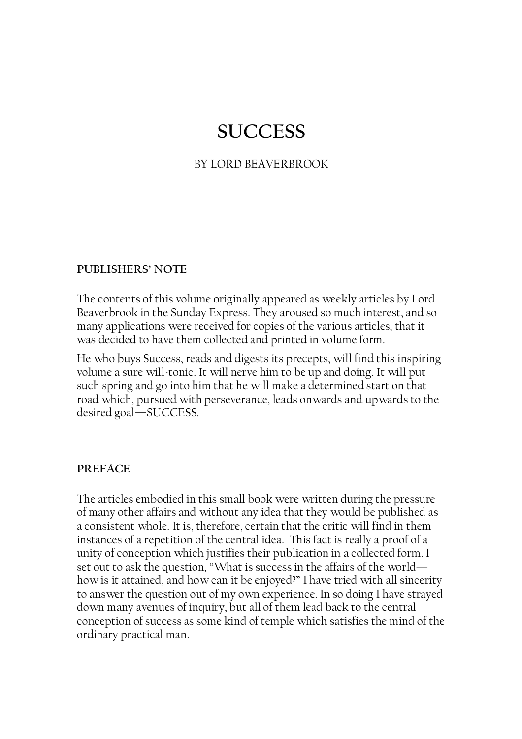# **SUCCESS**

## BY LORD BEAVERBROOK

#### PUBLISHERS' NOTE

The contents of this volume originally appeared as weekly articles by Lord Beaverbrook in the Sunday Express. They aroused so much interest, and so many applications were received for copies of the various articles, that it was decided to have them collected and printed in volume form.

He who buys Success, reads and digests its precepts, will find this inspiring volume a sure will-tonic. It will nerve him to be up and doing. It will put such spring and go into him that he will make a determined start on that road which, pursued with perseverance, leads onwards and upwards to the desired goal—SUCCESS.

#### PREFACE

The articles embodied in this small book were written during the pressure of many other affairs and without any idea that they would be published as a consistent whole. It is, therefore, certain that the critic will find in them instances of a repetition of the central idea. This fact is really a proof of a unity of conception which justifies their publication in a collected form. I set out to ask the question, "What is success in the affairs of the world how is it attained, and how can it be enjoyed?" I have tried with all sincerity to answer the question out of my own experience. In so doing I have strayed down many avenues of inquiry, but all of them lead back to the central conception of success as some kind of temple which satisfies the mind of the ordinary practical man.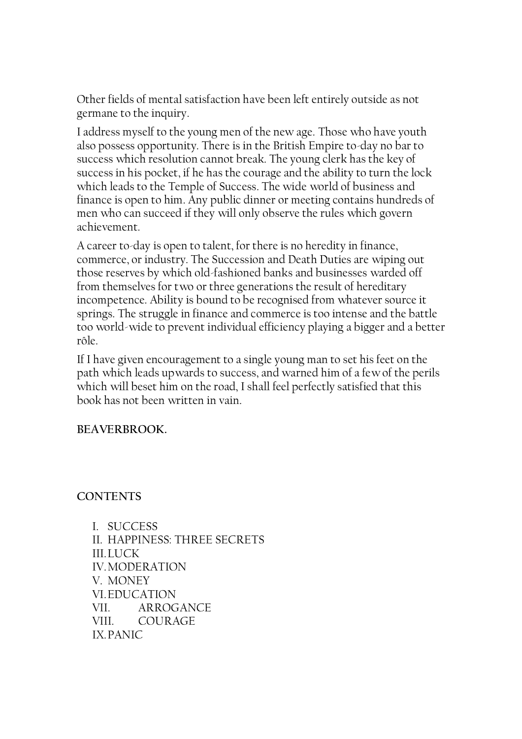Other fields of mental satisfaction have been left entirely outside as not germane to the inquiry.

I address myself to the young men of the new age. Those who have youth also possess opportunity. There is in the British Empire to-day no bar to success which resolution cannot break. The young clerk has the key of success in his pocket, if he has the courage and the ability to turn the lock which leads to the Temple of Success. The wide world of business and finance is open to him. Any public dinner or meeting contains hundreds of men who can succeed if they will only observe the rules which govern achievement.

A career to-day is open to talent, for there is no heredity in finance, commerce, or industry. The Succession and Death Duties are wiping out those reserves by which old-fashioned banks and businesses warded off from themselves for two or three generations the result of hereditary incompetence. Ability is bound to be recognised from whatever source it springs. The struggle in finance and commerce is too intense and the battle too world-wide to prevent individual efficiency playing a bigger and a better rôle.

If I have given encouragement to a single young man to set his feet on the path which leads upwards to success, and warned him of a few of the perils which will beset him on the road, I shall feel perfectly satisfied that this book has not been written in vain.

# BEAVERBROOK.

**CONTENTS** 

I. SUCCESS II. HAPPINESS: THREE SECRETS III. LUCK IV. MODERATION V. MONEY VI. EDUCATION VII. ARROGANCE VIII. COURAGE IX. PANIC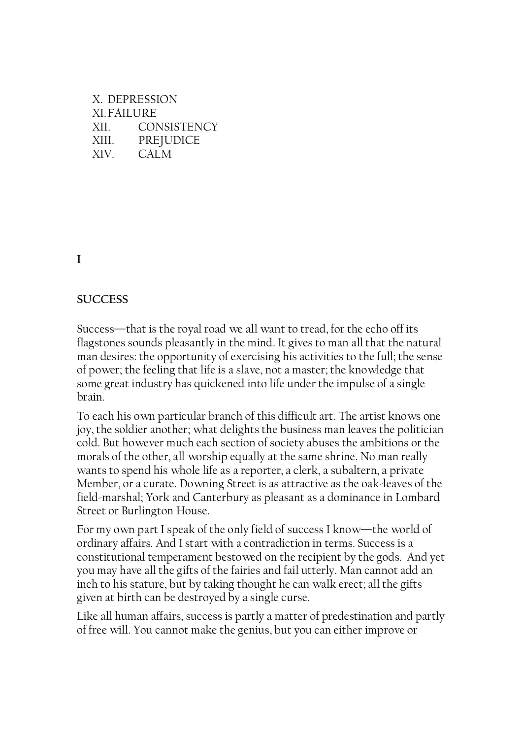| X DEPRESSION       |                    |
|--------------------|--------------------|
| <b>XI. FAILURE</b> |                    |
| XII.               | <b>CONSISTENCY</b> |
| XIII.              | PREJUDICE          |
| XIV.               | CALM               |

I

#### **SUCCESS**

Success—that is the royal road we all want to tread, for the echo off its flagstones sounds pleasantly in the mind. It gives to man all that the natural man desires: the opportunity of exercising his activities to the full; the sense of power; the feeling that life is a slave, not a master; the knowledge that some great industry has quickened into life under the impulse of a single brain.

To each his own particular branch of this difficult art. The artist knows one joy, the soldier another; what delights the business man leaves the politician cold. But however much each section of society abuses the ambitions or the morals of the other, all worship equally at the same shrine. No man really wants to spend his whole life as a reporter, a clerk, a subaltern, a private Member, or a curate. Downing Street is as attractive as the oak-leaves of the field-marshal; York and Canterbury as pleasant as a dominance in Lombard Street or Burlington House.

For my own part I speak of the only field of success I know—the world of ordinary affairs. And I start with a contradiction in terms. Success is a constitutional temperament bestowed on the recipient by the gods. And yet you may have all the gifts of the fairies and fail utterly. Man cannot add an inch to his stature, but by taking thought he can walk erect; all the gifts given at birth can be destroyed by a single curse.

Like all human affairs, success is partly a matter of predestination and partly of free will. You cannot make the genius, but you can either improve or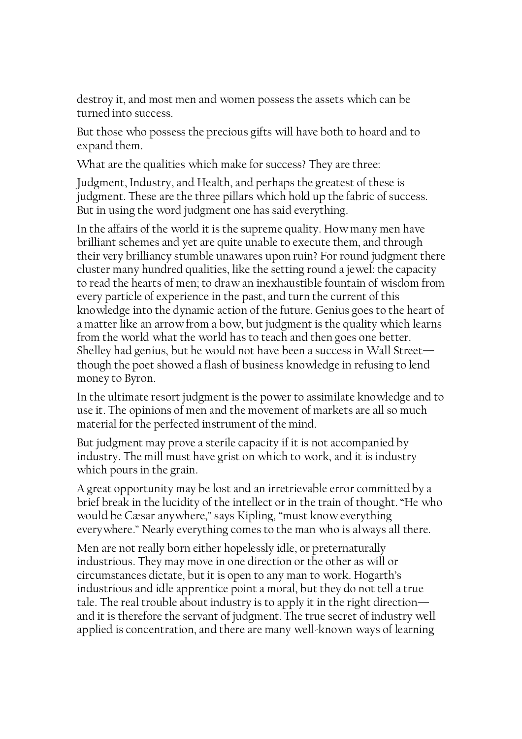destroy it, and most men and women possess the assets which can be turned into success.

But those who possess the precious gifts will have both to hoard and to expand them.

What are the qualities which make for success? They are three:

Judgment, Industry, and Health, and perhaps the greatest of these is judgment. These are the three pillars which hold up the fabric of success. But in using the word judgment one has said everything.

In the affairs of the world it is the supreme quality. How many men have brilliant schemes and yet are quite unable to execute them, and through their very brilliancy stumble unawares upon ruin? For round judgment there cluster many hundred qualities, like the setting round a jewel: the capacity to read the hearts of men; to draw an inexhaustible fountain of wisdom from every particle of experience in the past, and turn the current of this knowledge into the dynamic action of the future. Genius goes to the heart of a matter like an arrow from a bow, but judgment is the quality which learns from the world what the world has to teach and then goes one better. Shelley had genius, but he would not have been a success in Wall Street though the poet showed a flash of business knowledge in refusing to lend money to Byron.

In the ultimate resort judgment is the power to assimilate knowledge and to use it. The opinions of men and the movement of markets are all so much material for the perfected instrument of the mind.

But judgment may prove a sterile capacity if it is not accompanied by industry. The mill must have grist on which to work, and it is industry which pours in the grain.

A great opportunity may be lost and an irretrievable error committed by a brief break in the lucidity of the intellect or in the train of thought. "He who would be Cæsar anywhere," says Kipling, "must know everything everywhere." Nearly everything comes to the man who is always all there.

Men are not really born either hopelessly idle, or preternaturally industrious. They may move in one direction or the other as will or circumstances dictate, but it is open to any man to work. Hogarth's industrious and idle apprentice point a moral, but they do not tell a true tale. The real trouble about industry is to apply it in the right direction and it is therefore the servant of judgment. The true secret of industry well applied is concentration, and there are many well-known ways of learning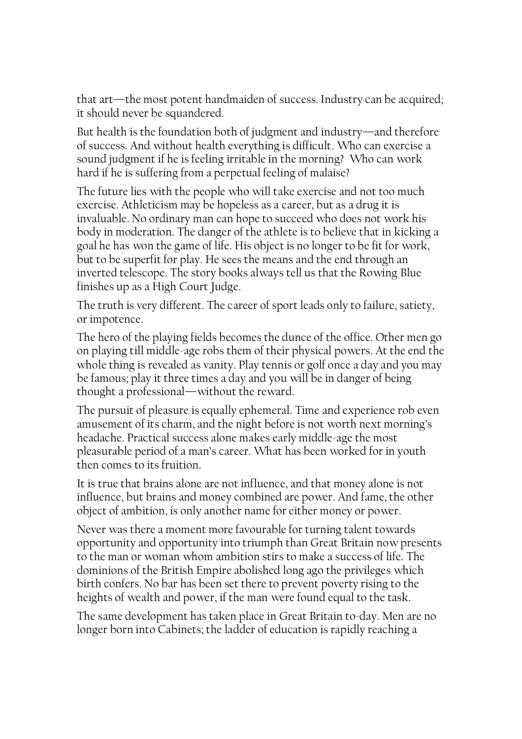that art—the most potent handmaiden of success. Industry can be acquired; it should never be squandered.

But health is the foundation both of judgment and industry—and therefore of success. And without health everything is difficult. Who can exercise a sound judgment if he is feeling irritable in the morning? Who can work hard if he is suffering from a perpetual feeling of malaise?

The future lies with the people who will take exercise and not too much exercise. Athleticism may be hopeless as a career, but as a drug it is invaluable. No ordinary man can hope to succeed who does not work his body in moderation. The danger of the athlete is to believe that in kicking a goal he has won the game of life. His object is no longer to be fit for work, but to be superfit for play. He sees the means and the end through an inverted telescope. The story books always tell us that the Rowing Blue finishes up as a High Court Judge.

The truth is very different. The career of sport leads only to failure, satiety, or impotence.

The hero of the playing fields becomes the dunce of the office. Other men go on playing till middle-age robs them of their physical powers. At the end the whole thing is revealed as vanity. Play tennis or golf once a day and you may be famous; play it three times a day and you will be in danger of being thought a professional—without the reward.

The pursuit of pleasure is equally ephemeral. Time and experience rob even amusement of its charm, and the night before is not worth next morning's headache. Practical success alone makes early middle-age the most pleasurable period of a man's career. What has been worked for in youth then comes to its fruition.

It is true that brains alone are not influence, and that money alone is not influence, but brains and money combined are power. And fame, the other object of ambition, is only another name for either money or power.

Never was there a moment more favourable for turning talent towards opportunity and opportunity into triumph than Great Britain now presents to the man or woman whom ambition stirs to make a success of life. The dominions of the British Empire abolished long ago the privileges which birth confers. No bar has been set there to prevent poverty rising to the heights of wealth and power, if the man were found equal to the task.

The same development has taken place in Great Britain to-day. Men are no longer born into Cabinets; the ladder of education is rapidly reaching a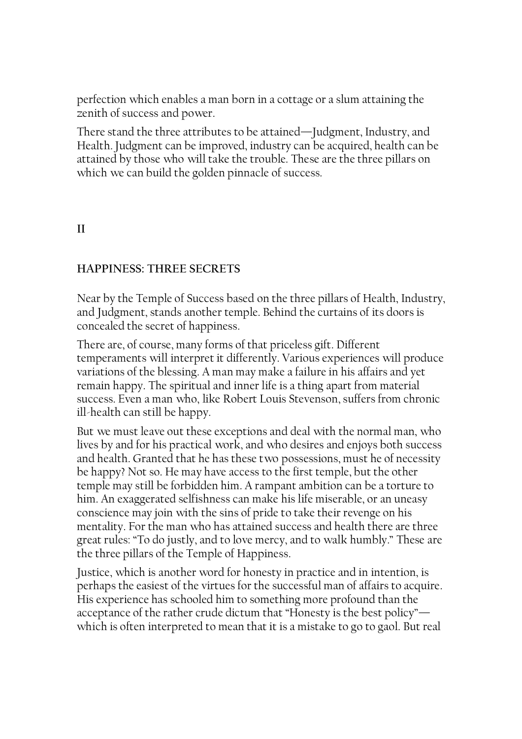perfection which enables a man born in a cottage or a slum attaining the zenith of success and power.

There stand the three attributes to be attained—Judgment, Industry, and Health. Judgment can be improved, industry can be acquired, health can be attained by those who will take the trouble. These are the three pillars on which we can build the golden pinnacle of success.

# II

# HAPPINESS: THREE SECRETS

Near by the Temple of Success based on the three pillars of Health, Industry, and Judgment, stands another temple. Behind the curtains of its doors is concealed the secret of happiness.

There are, of course, many forms of that priceless gift. Different temperaments will interpret it differently. Various experiences will produce variations of the blessing. A man may make a failure in his affairs and yet remain happy. The spiritual and inner life is a thing apart from material success. Even a man who, like Robert Louis Stevenson, suffers from chronic ill-health can still be happy.

But we must leave out these exceptions and deal with the normal man, who lives by and for his practical work, and who desires and enjoys both success and health. Granted that he has these two possessions, must he of necessity be happy? Not so. He may have access to the first temple, but the other temple may still be forbidden him. A rampant ambition can be a torture to him. An exaggerated selfishness can make his life miserable, or an uneasy conscience may join with the sins of pride to take their revenge on his mentality. For the man who has attained success and health there are three great rules: "To do justly, and to love mercy, and to walk humbly." These are the three pillars of the Temple of Happiness.

Justice, which is another word for honesty in practice and in intention, is perhaps the easiest of the virtues for the successful man of affairs to acquire. His experience has schooled him to something more profound than the acceptance of the rather crude dictum that "Honesty is the best policy" which is often interpreted to mean that it is a mistake to go to gaol. But real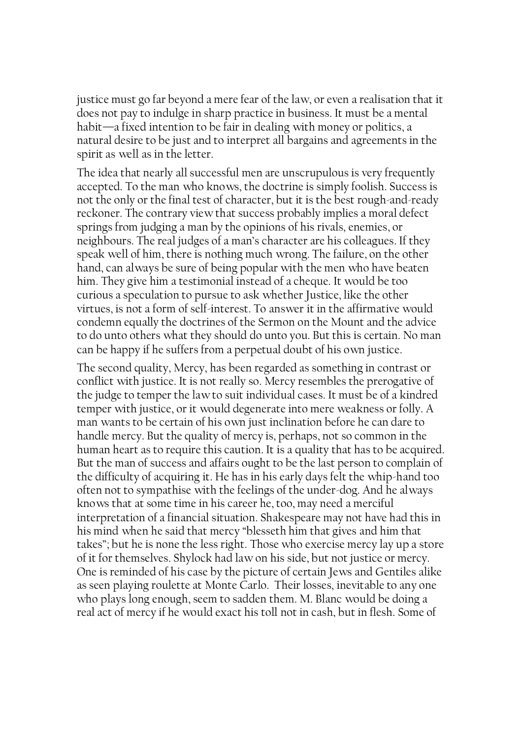justice must go far beyond a mere fear of the law, or even a realisation that it does not pay to indulge in sharp practice in business. It must be a mental habit—a fixed intention to be fair in dealing with money or politics, a natural desire to be just and to interpret all bargains and agreements in the spirit as well as in the letter.

The idea that nearly all successful men are unscrupulous is very frequently accepted. To the man who knows, the doctrine is simply foolish. Success is not the only or the final test of character, but it is the best rough-and-ready reckoner. The contrary view that success probably implies a moral defect springs from judging a man by the opinions of his rivals, enemies, or neighbours. The real judges of a man's character are his colleagues. If they speak well of him, there is nothing much wrong. The failure, on the other hand, can always be sure of being popular with the men who have beaten him. They give him a testimonial instead of a cheque. It would be too curious a speculation to pursue to ask whether Justice, like the other virtues, is not a form of self-interest. To answer it in the affirmative would condemn equally the doctrines of the Sermon on the Mount and the advice to do unto others what they should do unto you. But this is certain. No man can be happy if he suffers from a perpetual doubt of his own justice.

The second quality, Mercy, has been regarded as something in contrast or conflict with justice. It is not really so. Mercy resembles the prerogative of the judge to temper the law to suit individual cases. It must be of a kindred temper with justice, or it would degenerate into mere weakness or folly. A man wants to be certain of his own just inclination before he can dare to handle mercy. But the quality of mercy is, perhaps, not so common in the human heart as to require this caution. It is a quality that has to be acquired. But the man of success and affairs ought to be the last person to complain of the difficulty of acquiring it. He has in his early days felt the whip-hand too often not to sympathise with the feelings of the under-dog. And he always knows that at some time in his career he, too, may need a merciful interpretation of a financial situation. Shakespeare may not have had this in his mind when he said that mercy "blesseth him that gives and him that takes"; but he is none the less right. Those who exercise mercy lay up a store of it for themselves. Shylock had law on his side, but not justice or mercy. One is reminded of his case by the picture of certain Jews and Gentiles alike as seen playing roulette at Monte Carlo. Their losses, inevitable to any one who plays long enough, seem to sadden them. M. Blanc would be doing a real act of mercy if he would exact his toll not in cash, but in flesh. Some of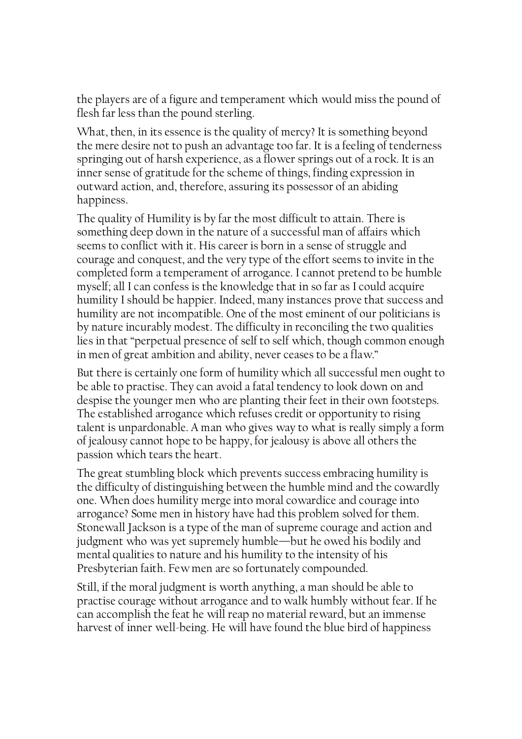the players are of a figure and temperament which would miss the pound of flesh far less than the pound sterling.

What, then, in its essence is the quality of mercy? It is something beyond the mere desire not to push an advantage too far. It is a feeling of tenderness springing out of harsh experience, as a flower springs out of a rock. It is an inner sense of gratitude for the scheme of things, finding expression in outward action, and, therefore, assuring its possessor of an abiding happiness.

The quality of Humility is by far the most difficult to attain. There is something deep down in the nature of a successful man of affairs which seems to conflict with it. His career is born in a sense of struggle and courage and conquest, and the very type of the effort seems to invite in the completed form a temperament of arrogance. I cannot pretend to be humble myself; all I can confess is the knowledge that in so far as I could acquire humility I should be happier. Indeed, many instances prove that success and humility are not incompatible. One of the most eminent of our politicians is by nature incurably modest. The difficulty in reconciling the two qualities lies in that "perpetual presence of self to self which, though common enough in men of great ambition and ability, never ceases to be a flaw."

But there is certainly one form of humility which all successful men ought to be able to practise. They can avoid a fatal tendency to look down on and despise the younger men who are planting their feet in their own footsteps. The established arrogance which refuses credit or opportunity to rising talent is unpardonable. A man who gives way to what is really simply a form of jealousy cannot hope to be happy, for jealousy is above all others the passion which tears the heart.

The great stumbling block which prevents success embracing humility is the difficulty of distinguishing between the humble mind and the cowardly one. When does humility merge into moral cowardice and courage into arrogance? Some men in history have had this problem solved for them. Stonewall Jackson is a type of the man of supreme courage and action and judgment who was yet supremely humble—but he owed his bodily and mental qualities to nature and his humility to the intensity of his Presbyterian faith. Few men are so fortunately compounded.

Still, if the moral judgment is worth anything, a man should be able to practise courage without arrogance and to walk humbly without fear. If he can accomplish the feat he will reap no material reward, but an immense harvest of inner well-being. He will have found the blue bird of happiness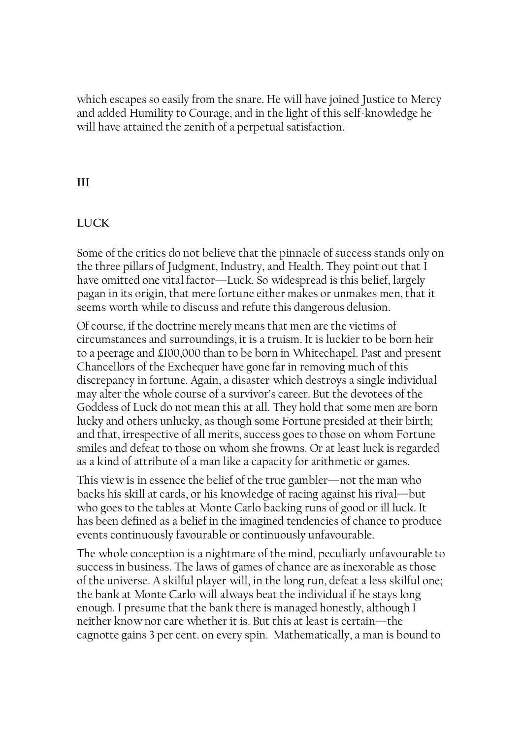which escapes so easily from the snare. He will have joined Justice to Mercy and added Humility to Courage, and in the light of this self-knowledge he will have attained the zenith of a perpetual satisfaction.

# III

## LUCK

Some of the critics do not believe that the pinnacle of success stands only on the three pillars of Judgment, Industry, and Health. They point out that I have omitted one vital factor—Luck. So widespread is this belief, largely pagan in its origin, that mere fortune either makes or unmakes men, that it seems worth while to discuss and refute this dangerous delusion.

Of course, if the doctrine merely means that men are the victims of circumstances and surroundings, it is a truism. It is luckier to be born heir to a peerage and £100,000 than to be born in Whitechapel. Past and present Chancellors of the Exchequer have gone far in removing much of this discrepancy in fortune. Again, a disaster which destroys a single individual may alter the whole course of a survivor's career. But the devotees of the Goddess of Luck do not mean this at all. They hold that some men are born lucky and others unlucky, as though some Fortune presided at their birth; and that, irrespective of all merits, success goes to those on whom Fortune smiles and defeat to those on whom she frowns. Or at least luck is regarded as a kind of attribute of a man like a capacity for arithmetic or games.

This view is in essence the belief of the true gambler—not the man who backs his skill at cards, or his knowledge of racing against his rival—but who goes to the tables at Monte Carlo backing runs of good or ill luck. It has been defined as a belief in the imagined tendencies of chance to produce events continuously favourable or continuously unfavourable.

The whole conception is a nightmare of the mind, peculiarly unfavourable to success in business. The laws of games of chance are as inexorable as those of the universe. A skilful player will, in the long run, defeat a less skilful one; the bank at Monte Carlo will always beat the individual if he stays long enough. I presume that the bank there is managed honestly, although I neither know nor care whether it is. But this at least is certain—the cagnotte gains 3 per cent. on every spin. Mathematically, a man is bound to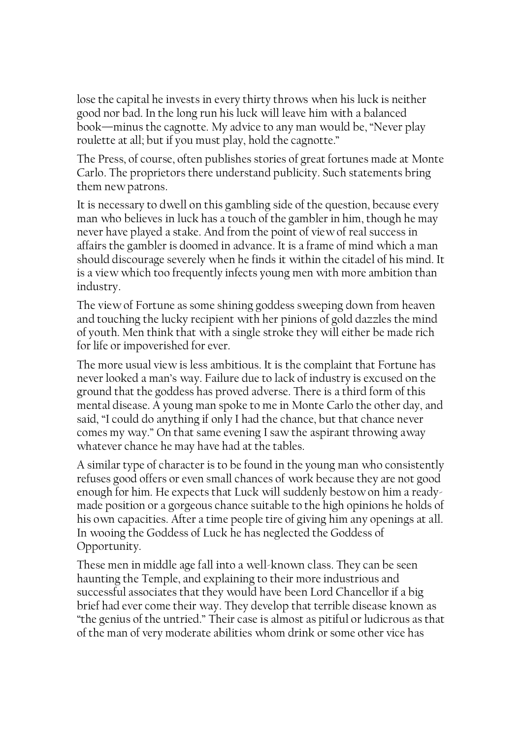lose the capital he invests in every thirty throws when his luck is neither good nor bad. In the long run his luck will leave him with a balanced book—minus the cagnotte. My advice to any man would be, "Never play roulette at all; but if you must play, hold the cagnotte."

The Press, of course, often publishes stories of great fortunes made at Monte Carlo. The proprietors there understand publicity. Such statements bring them new patrons.

It is necessary to dwell on this gambling side of the question, because every man who believes in luck has a touch of the gambler in him, though he may never have played a stake. And from the point of view of real success in affairs the gambler is doomed in advance. It is a frame of mind which a man should discourage severely when he finds it within the citadel of his mind. It is a view which too frequently infects young men with more ambition than industry.

The view of Fortune as some shining goddess sweeping down from heaven and touching the lucky recipient with her pinions of gold dazzles the mind of youth. Men think that with a single stroke they will either be made rich for life or impoverished for ever.

The more usual view is less ambitious. It is the complaint that Fortune has never looked a man's way. Failure due to lack of industry is excused on the ground that the goddess has proved adverse. There is a third form of this mental disease. A young man spoke to me in Monte Carlo the other day, and said, "I could do anything if only I had the chance, but that chance never comes my way." On that same evening I saw the aspirant throwing away whatever chance he may have had at the tables.

A similar type of character is to be found in the young man who consistently refuses good offers or even small chances of work because they are not good enough for him. He expects that Luck will suddenly bestow on him a readymade position or a gorgeous chance suitable to the high opinions he holds of his own capacities. After a time people tire of giving him any openings at all. In wooing the Goddess of Luck he has neglected the Goddess of Opportunity.

These men in middle age fall into a well-known class. They can be seen haunting the Temple, and explaining to their more industrious and successful associates that they would have been Lord Chancellor if a big brief had ever come their way. They develop that terrible disease known as "the genius of the untried." Their case is almost as pitiful or ludicrous as that of the man of very moderate abilities whom drink or some other vice has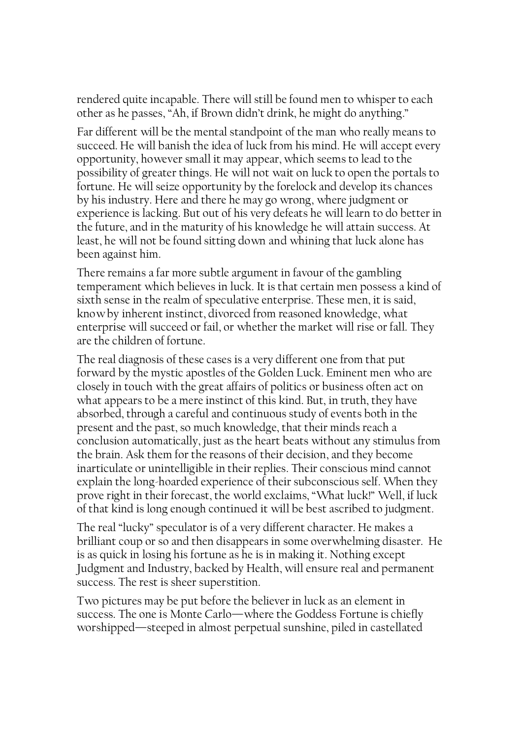rendered quite incapable. There will still be found men to whisper to each other as he passes, "Ah, if Brown didn't drink, he might do anything."

Far different will be the mental standpoint of the man who really means to succeed. He will banish the idea of luck from his mind. He will accept every opportunity, however small it may appear, which seems to lead to the possibility of greater things. He will not wait on luck to open the portals to fortune. He will seize opportunity by the forelock and develop its chances by his industry. Here and there he may go wrong, where judgment or experience is lacking. But out of his very defeats he will learn to do better in the future, and in the maturity of his knowledge he will attain success. At least, he will not be found sitting down and whining that luck alone has been against him.

There remains a far more subtle argument in favour of the gambling temperament which believes in luck. It is that certain men possess a kind of sixth sense in the realm of speculative enterprise. These men, it is said, know by inherent instinct, divorced from reasoned knowledge, what enterprise will succeed or fail, or whether the market will rise or fall. They are the children of fortune.

The real diagnosis of these cases is a very different one from that put forward by the mystic apostles of the Golden Luck. Eminent men who are closely in touch with the great affairs of politics or business often act on what appears to be a mere instinct of this kind. But, in truth, they have absorbed, through a careful and continuous study of events both in the present and the past, so much knowledge, that their minds reach a conclusion automatically, just as the heart beats without any stimulus from the brain. Ask them for the reasons of their decision, and they become inarticulate or unintelligible in their replies. Their conscious mind cannot explain the long-hoarded experience of their subconscious self. When they prove right in their forecast, the world exclaims, "What luck!" Well, if luck of that kind is long enough continued it will be best ascribed to judgment.

The real "lucky" speculator is of a very different character. He makes a brilliant coup or so and then disappears in some overwhelming disaster. He is as quick in losing his fortune as he is in making it. Nothing except Judgment and Industry, backed by Health, will ensure real and permanent success. The rest is sheer superstition.

Two pictures may be put before the believer in luck as an element in success. The one is Monte Carlo—where the Goddess Fortune is chiefly worshipped—steeped in almost perpetual sunshine, piled in castellated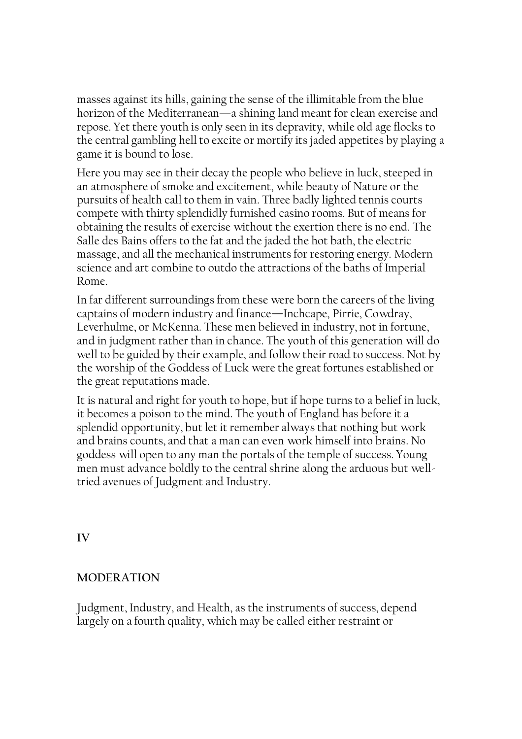masses against its hills, gaining the sense of the illimitable from the blue horizon of the Mediterranean—a shining land meant for clean exercise and repose. Yet there youth is only seen in its depravity, while old age flocks to the central gambling hell to excite or mortify its jaded appetites by playing a game it is bound to lose.

Here you may see in their decay the people who believe in luck, steeped in an atmosphere of smoke and excitement, while beauty of Nature or the pursuits of health call to them in vain. Three badly lighted tennis courts compete with thirty splendidly furnished casino rooms. But of means for obtaining the results of exercise without the exertion there is no end. The Salle des Bains offers to the fat and the jaded the hot bath, the electric massage, and all the mechanical instruments for restoring energy. Modern science and art combine to outdo the attractions of the baths of Imperial Rome.

In far different surroundings from these were born the careers of the living captains of modern industry and finance—Inchcape, Pirrie, Cowdray, Leverhulme, or McKenna. These men believed in industry, not in fortune, and in judgment rather than in chance. The youth of this generation will do well to be guided by their example, and follow their road to success. Not by the worship of the Goddess of Luck were the great fortunes established or the great reputations made.

It is natural and right for youth to hope, but if hope turns to a belief in luck, it becomes a poison to the mind. The youth of England has before it a splendid opportunity, but let it remember always that nothing but work and brains counts, and that a man can even work himself into brains. No goddess will open to any man the portals of the temple of success. Young men must advance boldly to the central shrine along the arduous but welltried avenues of Judgment and Industry.

IV

# MODERATION

Judgment, Industry, and Health, as the instruments of success, depend largely on a fourth quality, which may be called either restraint or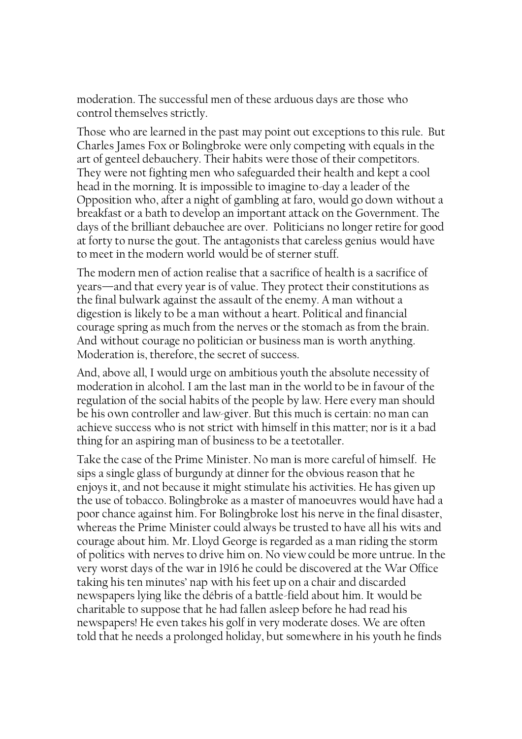moderation. The successful men of these arduous days are those who control themselves strictly.

Those who are learned in the past may point out exceptions to this rule. But Charles James Fox or Bolingbroke were only competing with equals in the art of genteel debauchery. Their habits were those of their competitors. They were not fighting men who safeguarded their health and kept a cool head in the morning. It is impossible to imagine to-day a leader of the Opposition who, after a night of gambling at faro, would go down without a breakfast or a bath to develop an important attack on the Government. The days of the brilliant debauchee are over. Politicians no longer retire for good at forty to nurse the gout. The antagonists that careless genius would have to meet in the modern world would be of sterner stuff.

The modern men of action realise that a sacrifice of health is a sacrifice of years—and that every year is of value. They protect their constitutions as the final bulwark against the assault of the enemy. A man without a digestion is likely to be a man without a heart. Political and financial courage spring as much from the nerves or the stomach as from the brain. And without courage no politician or business man is worth anything. Moderation is, therefore, the secret of success.

And, above all, I would urge on ambitious youth the absolute necessity of moderation in alcohol. I am the last man in the world to be in favour of the regulation of the social habits of the people by law. Here every man should be his own controller and law-giver. But this much is certain: no man can achieve success who is not strict with himself in this matter; nor is it a bad thing for an aspiring man of business to be a teetotaller.

Take the case of the Prime Minister. No man is more careful of himself. He sips a single glass of burgundy at dinner for the obvious reason that he enjoys it, and not because it might stimulate his activities. He has given up the use of tobacco. Bolingbroke as a master of manoeuvres would have had a poor chance against him. For Bolingbroke lost his nerve in the final disaster, whereas the Prime Minister could always be trusted to have all his wits and courage about him. Mr. Lloyd George is regarded as a man riding the storm of politics with nerves to drive him on. No view could be more untrue. In the very worst days of the war in 1916 he could be discovered at the War Office taking his ten minutes' nap with his feet up on a chair and discarded newspapers lying like the débris of a battle-field about him. It would be charitable to suppose that he had fallen asleep before he had read his newspapers! He even takes his golf in very moderate doses. We are often told that he needs a prolonged holiday, but somewhere in his youth he finds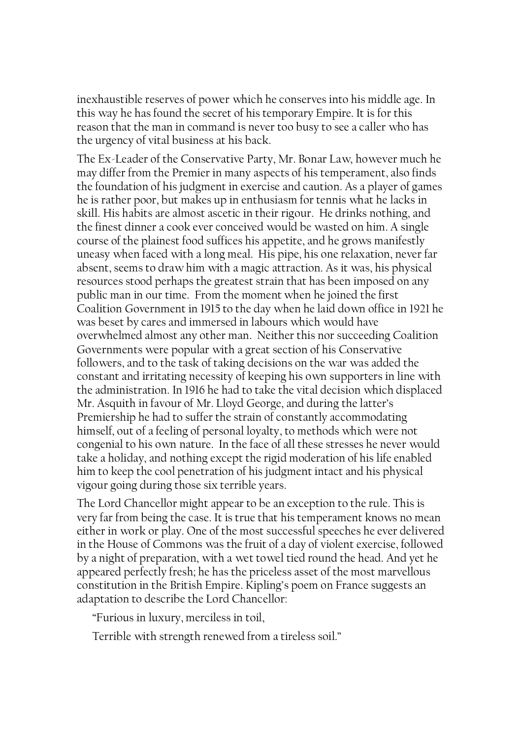inexhaustible reserves of power which he conserves into his middle age. In this way he has found the secret of his temporary Empire. It is for this reason that the man in command is never too busy to see a caller who has the urgency of vital business at his back.

The Ex-Leader of the Conservative Party, Mr. Bonar Law, however much he may differ from the Premier in many aspects of his temperament, also finds the foundation of his judgment in exercise and caution. As a player of games he is rather poor, but makes up in enthusiasm for tennis what he lacks in skill. His habits are almost ascetic in their rigour. He drinks nothing, and the finest dinner a cook ever conceived would be wasted on him. A single course of the plainest food suffices his appetite, and he grows manifestly uneasy when faced with a long meal. His pipe, his one relaxation, never far absent, seems to draw him with a magic attraction. As it was, his physical resources stood perhaps the greatest strain that has been imposed on any public man in our time. From the moment when he joined the first Coalition Government in 1915 to the day when he laid down office in 1921 he was beset by cares and immersed in labours which would have overwhelmed almost any other man. Neither this nor succeeding Coalition Governments were popular with a great section of his Conservative followers, and to the task of taking decisions on the war was added the constant and irritating necessity of keeping his own supporters in line with the administration. In 1916 he had to take the vital decision which displaced Mr. Asquith in favour of Mr. Lloyd George, and during the latter's Premiership he had to suffer the strain of constantly accommodating himself, out of a feeling of personal loyalty, to methods which were not congenial to his own nature. In the face of all these stresses he never would take a holiday, and nothing except the rigid moderation of his life enabled him to keep the cool penetration of his judgment intact and his physical vigour going during those six terrible years.

The Lord Chancellor might appear to be an exception to the rule. This is very far from being the case. It is true that his temperament knows no mean either in work or play. One of the most successful speeches he ever delivered in the House of Commons was the fruit of a day of violent exercise, followed by a night of preparation, with a wet towel tied round the head. And yet he appeared perfectly fresh; he has the priceless asset of the most marvellous constitution in the British Empire. Kipling's poem on France suggests an adaptation to describe the Lord Chancellor:

"Furious in luxury, merciless in toil,

Terrible with strength renewed from a tireless soil."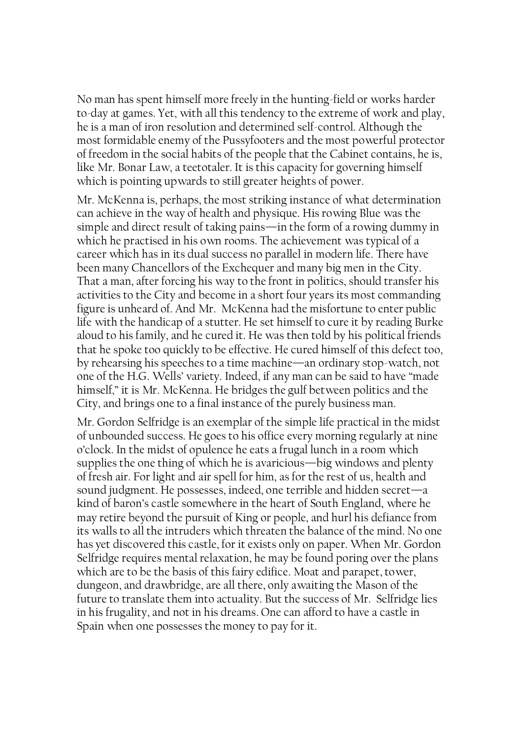No man has spent himself more freely in the hunting-field or works harder to-day at games. Yet, with all this tendency to the extreme of work and play, he is a man of iron resolution and determined self-control. Although the most formidable enemy of the Pussyfooters and the most powerful protector of freedom in the social habits of the people that the Cabinet contains, he is, like Mr. Bonar Law, a teetotaler. It is this capacity for governing himself which is pointing upwards to still greater heights of power.

Mr. McKenna is, perhaps, the most striking instance of what determination can achieve in the way of health and physique. His rowing Blue was the simple and direct result of taking pains—in the form of a rowing dummy in which he practised in his own rooms. The achievement was typical of a career which has in its dual success no parallel in modern life. There have been many Chancellors of the Exchequer and many big men in the City. That a man, after forcing his way to the front in politics, should transfer his activities to the City and become in a short four years its most commanding figure is unheard of. And Mr. McKenna had the misfortune to enter public life with the handicap of a stutter. He set himself to cure it by reading Burke aloud to his family, and he cured it. He was then told by his political friends that he spoke too quickly to be effective. He cured himself of this defect too, by rehearsing his speeches to a time machine—an ordinary stop-watch, not one of the H.G. Wells' variety. Indeed, if any man can be said to have "made himself," it is Mr. McKenna. He bridges the gulf between politics and the City, and brings one to a final instance of the purely business man.

Mr. Gordon Selfridge is an exemplar of the simple life practical in the midst of unbounded success. He goes to his office every morning regularly at nine o'clock. In the midst of opulence he eats a frugal lunch in a room which supplies the one thing of which he is avaricious—big windows and plenty of fresh air. For light and air spell for him, as for the rest of us, health and sound judgment. He possesses, indeed, one terrible and hidden secret—a kind of baron's castle somewhere in the heart of South England, where he may retire beyond the pursuit of King or people, and hurl his defiance from its walls to all the intruders which threaten the balance of the mind. No one has yet discovered this castle, for it exists only on paper. When Mr. Gordon Selfridge requires mental relaxation, he may be found poring over the plans which are to be the basis of this fairy edifice. Moat and parapet, tower, dungeon, and drawbridge, are all there, only awaiting the Mason of the future to translate them into actuality. But the success of Mr. Selfridge lies in his frugality, and not in his dreams. One can afford to have a castle in Spain when one possesses the money to pay for it.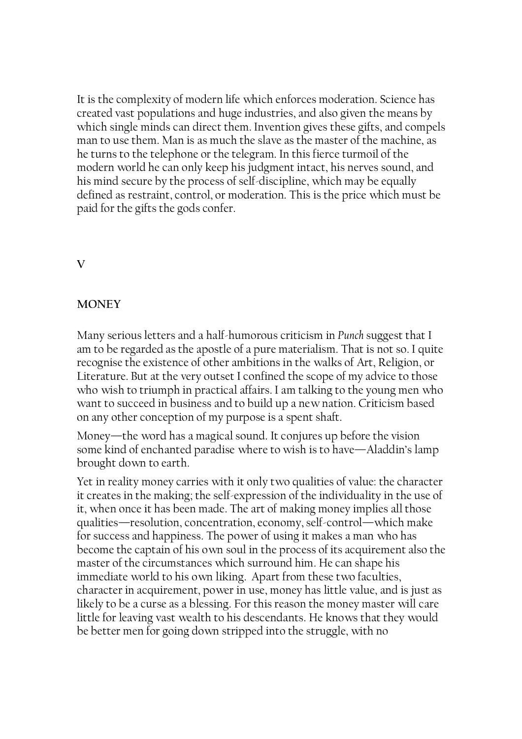It is the complexity of modern life which enforces moderation. Science has created vast populations and huge industries, and also given the means by which single minds can direct them. Invention gives these gifts, and compels man to use them. Man is as much the slave as the master of the machine, as he turns to the telephone or the telegram. In this fierce turmoil of the modern world he can only keep his judgment intact, his nerves sound, and his mind secure by the process of self-discipline, which may be equally defined as restraint, control, or moderation. This is the price which must be paid for the gifts the gods confer.

## V

# **MONEY**

Many serious letters and a half-humorous criticism in Punch suggest that I am to be regarded as the apostle of a pure materialism. That is not so. I quite recognise the existence of other ambitions in the walks of Art, Religion, or Literature. But at the very outset I confined the scope of my advice to those who wish to triumph in practical affairs. I am talking to the young men who want to succeed in business and to build up a new nation. Criticism based on any other conception of my purpose is a spent shaft.

Money—the word has a magical sound. It conjures up before the vision some kind of enchanted paradise where to wish is to have—Aladdin's lamp brought down to earth.

Yet in reality money carries with it only two qualities of value: the character it creates in the making; the self-expression of the individuality in the use of it, when once it has been made. The art of making money implies all those qualities—resolution, concentration, economy, self-control—which make for success and happiness. The power of using it makes a man who has become the captain of his own soul in the process of its acquirement also the master of the circumstances which surround him. He can shape his immediate world to his own liking. Apart from these two faculties, character in acquirement, power in use, money has little value, and is just as likely to be a curse as a blessing. For this reason the money master will care little for leaving vast wealth to his descendants. He knows that they would be better men for going down stripped into the struggle, with no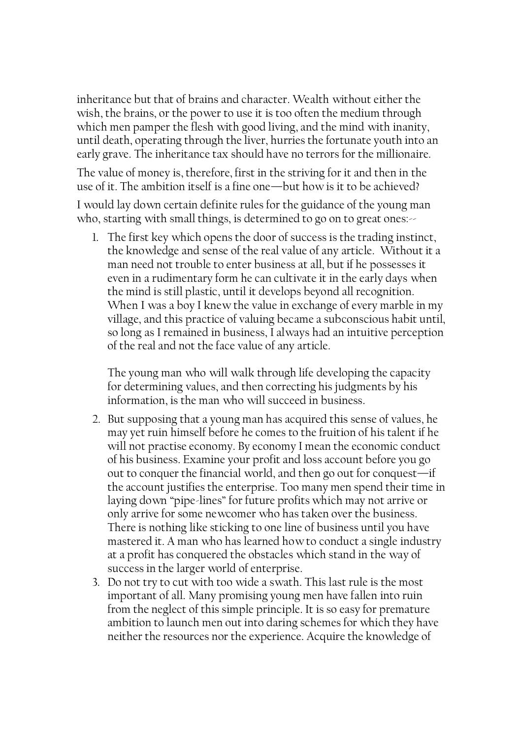inheritance but that of brains and character. Wealth without either the wish, the brains, or the power to use it is too often the medium through which men pamper the flesh with good living, and the mind with inanity, until death, operating through the liver, hurries the fortunate youth into an early grave. The inheritance tax should have no terrors for the millionaire.

The value of money is, therefore, first in the striving for it and then in the use of it. The ambition itself is a fine one—but how is it to be achieved?

I would lay down certain definite rules for the guidance of the young man who, starting with small things, is determined to go on to great ones:

1. The first key which opens the door of success is the trading instinct, the knowledge and sense of the real value of any article. Without it a man need not trouble to enter business at all, but if he possesses it even in a rudimentary form he can cultivate it in the early days when the mind is still plastic, until it develops beyond all recognition. When I was a boy I knew the value in exchange of every marble in my village, and this practice of valuing became a subconscious habit until, so long as I remained in business, I always had an intuitive perception of the real and not the face value of any article.

The young man who will walk through life developing the capacity for determining values, and then correcting his judgments by his information, is the man who will succeed in business.

- 2. But supposing that a young man has acquired this sense of values, he may yet ruin himself before he comes to the fruition of his talent if he will not practise economy. By economy I mean the economic conduct of his business. Examine your profit and loss account before you go out to conquer the financial world, and then go out for conquest—if the account justifies the enterprise. Too many men spend their time in laying down "pipe-lines" for future profits which may not arrive or only arrive for some newcomer who has taken over the business. There is nothing like sticking to one line of business until you have mastered it. A man who has learned how to conduct a single industry at a profit has conquered the obstacles which stand in the way of success in the larger world of enterprise.
- 3. Do not try to cut with too wide a swath. This last rule is the most important of all. Many promising young men have fallen into ruin from the neglect of this simple principle. It is so easy for premature ambition to launch men out into daring schemes for which they have neither the resources nor the experience. Acquire the knowledge of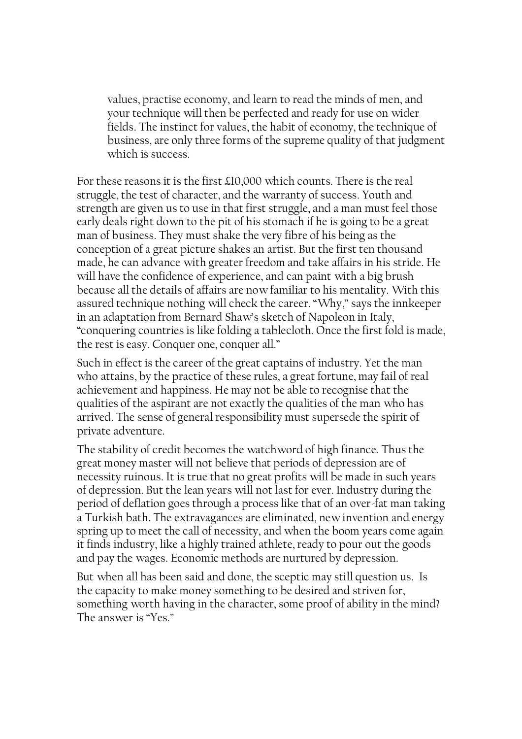values, practise economy, and learn to read the minds of men, and your technique will then be perfected and ready for use on wider fields. The instinct for values, the habit of economy, the technique of business, are only three forms of the supreme quality of that judgment which is success.

For these reasons it is the first £10,000 which counts. There is the real struggle, the test of character, and the warranty of success. Youth and strength are given us to use in that first struggle, and a man must feel those early deals right down to the pit of his stomach if he is going to be a great man of business. They must shake the very fibre of his being as the conception of a great picture shakes an artist. But the first ten thousand made, he can advance with greater freedom and take affairs in his stride. He will have the confidence of experience, and can paint with a big brush because all the details of affairs are now familiar to his mentality. With this assured technique nothing will check the career. "Why," says the innkeeper in an adaptation from Bernard Shaw's sketch of Napoleon in Italy, "conquering countries is like folding a tablecloth. Once the first fold is made, the rest is easy. Conquer one, conquer all."

Such in effect is the career of the great captains of industry. Yet the man who attains, by the practice of these rules, a great fortune, may fail of real achievement and happiness. He may not be able to recognise that the qualities of the aspirant are not exactly the qualities of the man who has arrived. The sense of general responsibility must supersede the spirit of private adventure.

The stability of credit becomes the watchword of high finance. Thus the great money master will not believe that periods of depression are of necessity ruinous. It is true that no great profits will be made in such years of depression. But the lean years will not last for ever. Industry during the period of deflation goes through a process like that of an over-fat man taking a Turkish bath. The extravagances are eliminated, new invention and energy spring up to meet the call of necessity, and when the boom years come again it finds industry, like a highly trained athlete, ready to pour out the goods and pay the wages. Economic methods are nurtured by depression.

But when all has been said and done, the sceptic may still question us. Is the capacity to make money something to be desired and striven for, something worth having in the character, some proof of ability in the mind? The answer is "Yes."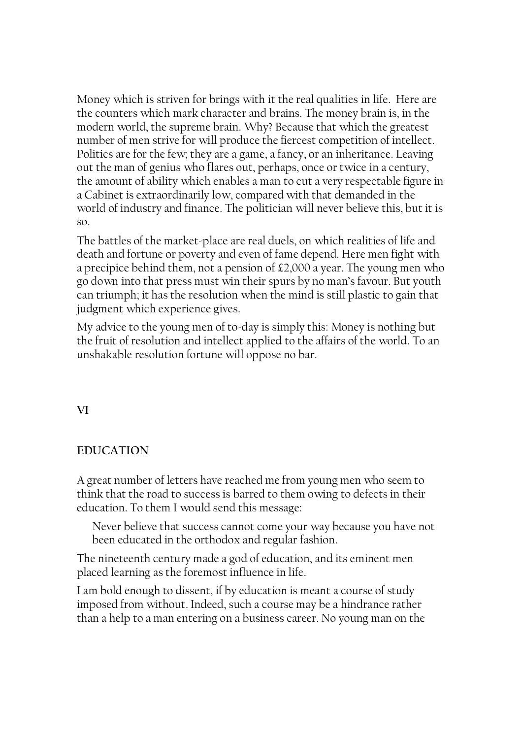Money which is striven for brings with it the real qualities in life. Here are the counters which mark character and brains. The money brain is, in the modern world, the supreme brain. Why? Because that which the greatest number of men strive for will produce the fiercest competition of intellect. Politics are for the few; they are a game, a fancy, or an inheritance. Leaving out the man of genius who flares out, perhaps, once or twice in a century, the amount of ability which enables a man to cut a very respectable figure in a Cabinet is extraordinarily low, compared with that demanded in the world of industry and finance. The politician will never believe this, but it is so.

The battles of the market-place are real duels, on which realities of life and death and fortune or poverty and even of fame depend. Here men fight with a precipice behind them, not a pension of £2,000 a year. The young men who go down into that press must win their spurs by no man's favour. But youth can triumph; it has the resolution when the mind is still plastic to gain that judgment which experience gives.

My advice to the young men of to-day is simply this: Money is nothing but the fruit of resolution and intellect applied to the affairs of the world. To an unshakable resolution fortune will oppose no bar.

VI

#### EDUCATION

A great number of letters have reached me from young men who seem to think that the road to success is barred to them owing to defects in their education. To them I would send this message:

Never believe that success cannot come your way because you have not been educated in the orthodox and regular fashion.

The nineteenth century made a god of education, and its eminent men placed learning as the foremost influence in life.

I am bold enough to dissent, if by education is meant a course of study imposed from without. Indeed, such a course may be a hindrance rather than a help to a man entering on a business career. No young man on the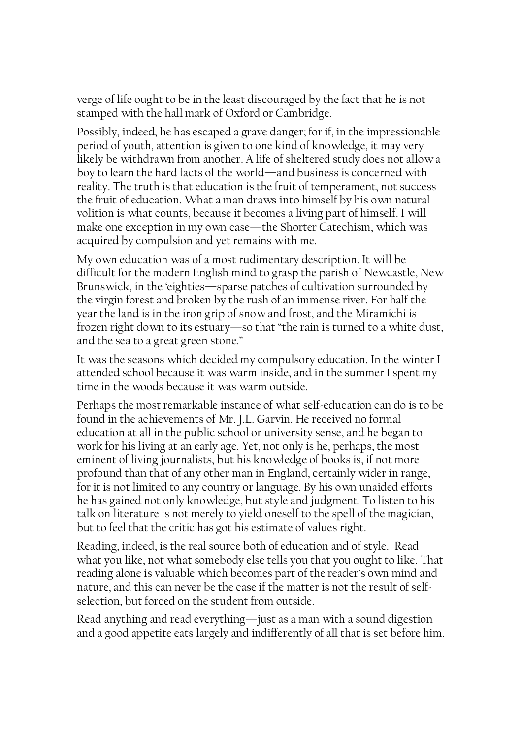verge of life ought to be in the least discouraged by the fact that he is not stamped with the hall mark of Oxford or Cambridge.

Possibly, indeed, he has escaped a grave danger; for if, in the impressionable period of youth, attention is given to one kind of knowledge, it may very likely be withdrawn from another. A life of sheltered study does not allow a boy to learn the hard facts of the world—and business is concerned with reality. The truth is that education is the fruit of temperament, not success the fruit of education. What a man draws into himself by his own natural volition is what counts, because it becomes a living part of himself. I will make one exception in my own case—the Shorter Catechism, which was acquired by compulsion and yet remains with me.

My own education was of a most rudimentary description. It will be difficult for the modern English mind to grasp the parish of Newcastle, New Brunswick, in the 'eighties—sparse patches of cultivation surrounded by the virgin forest and broken by the rush of an immense river. For half the year the land is in the iron grip of snow and frost, and the Miramichi is frozen right down to its estuary—so that "the rain is turned to a white dust, and the sea to a great green stone."

It was the seasons which decided my compulsory education. In the winter I attended school because it was warm inside, and in the summer I spent my time in the woods because it was warm outside.

Perhaps the most remarkable instance of what self-education can do is to be found in the achievements of Mr. J.L. Garvin. He received no formal education at all in the public school or university sense, and he began to work for his living at an early age. Yet, not only is he, perhaps, the most eminent of living journalists, but his knowledge of books is, if not more profound than that of any other man in England, certainly wider in range, for it is not limited to any country or language. By his own unaided efforts he has gained not only knowledge, but style and judgment. To listen to his talk on literature is not merely to yield oneself to the spell of the magician, but to feel that the critic has got his estimate of values right.

Reading, indeed, is the real source both of education and of style. Read what you like, not what somebody else tells you that you ought to like. That reading alone is valuable which becomes part of the reader's own mind and nature, and this can never be the case if the matter is not the result of selfselection, but forced on the student from outside.

Read anything and read everything—just as a man with a sound digestion and a good appetite eats largely and indifferently of all that is set before him.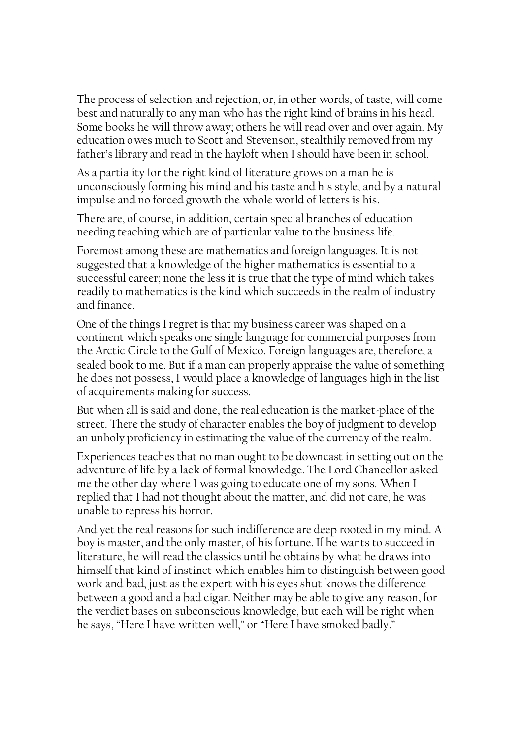The process of selection and rejection, or, in other words, of taste, will come best and naturally to any man who has the right kind of brains in his head. Some books he will throw away; others he will read over and over again. My education owes much to Scott and Stevenson, stealthily removed from my father's library and read in the hayloft when I should have been in school.

As a partiality for the right kind of literature grows on a man he is unconsciously forming his mind and his taste and his style, and by a natural impulse and no forced growth the whole world of letters is his.

There are, of course, in addition, certain special branches of education needing teaching which are of particular value to the business life.

Foremost among these are mathematics and foreign languages. It is not suggested that a knowledge of the higher mathematics is essential to a successful career; none the less it is true that the type of mind which takes readily to mathematics is the kind which succeeds in the realm of industry and finance.

One of the things I regret is that my business career was shaped on a continent which speaks one single language for commercial purposes from the Arctic Circle to the Gulf of Mexico. Foreign languages are, therefore, a sealed book to me. But if a man can properly appraise the value of something he does not possess, I would place a knowledge of languages high in the list of acquirements making for success.

But when all is said and done, the real education is the market-place of the street. There the study of character enables the boy of judgment to develop an unholy proficiency in estimating the value of the currency of the realm.

Experiences teaches that no man ought to be downcast in setting out on the adventure of life by a lack of formal knowledge. The Lord Chancellor asked me the other day where I was going to educate one of my sons. When I replied that I had not thought about the matter, and did not care, he was unable to repress his horror.

And yet the real reasons for such indifference are deep rooted in my mind. A boy is master, and the only master, of his fortune. If he wants to succeed in literature, he will read the classics until he obtains by what he draws into himself that kind of instinct which enables him to distinguish between good work and bad, just as the expert with his eyes shut knows the difference between a good and a bad cigar. Neither may be able to give any reason, for the verdict bases on subconscious knowledge, but each will be right when he says, "Here I have written well," or "Here I have smoked badly."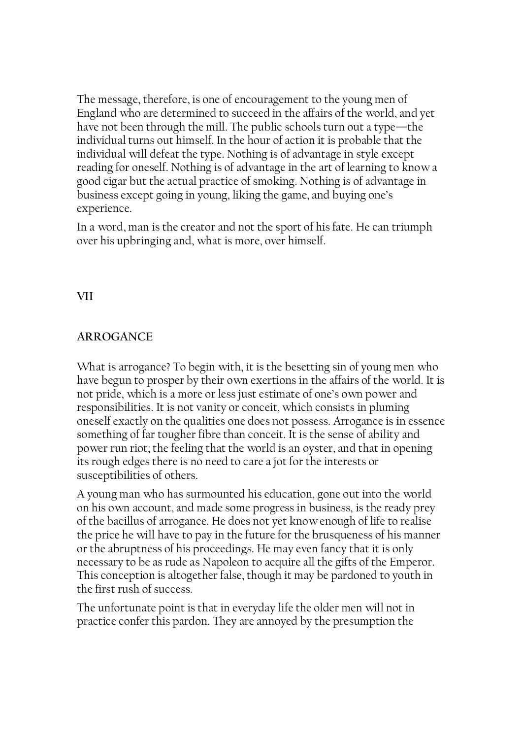The message, therefore, is one of encouragement to the young men of England who are determined to succeed in the affairs of the world, and yet have not been through the mill. The public schools turn out a type—the individual turns out himself. In the hour of action it is probable that the individual will defeat the type. Nothing is of advantage in style except reading for oneself. Nothing is of advantage in the art of learning to know a good cigar but the actual practice of smoking. Nothing is of advantage in business except going in young, liking the game, and buying one's experience.

In a word, man is the creator and not the sport of his fate. He can triumph over his upbringing and, what is more, over himself.

# VII

# ARROGANCE

What is arrogance? To begin with, it is the besetting sin of young men who have begun to prosper by their own exertions in the affairs of the world. It is not pride, which is a more or less just estimate of one's own power and responsibilities. It is not vanity or conceit, which consists in pluming oneself exactly on the qualities one does not possess. Arrogance is in essence something of far tougher fibre than conceit. It is the sense of ability and power run riot; the feeling that the world is an oyster, and that in opening its rough edges there is no need to care a jot for the interests or susceptibilities of others.

A young man who has surmounted his education, gone out into the world on his own account, and made some progress in business, is the ready prey of the bacillus of arrogance. He does not yet know enough of life to realise the price he will have to pay in the future for the brusqueness of his manner or the abruptness of his proceedings. He may even fancy that it is only necessary to be as rude as Napoleon to acquire all the gifts of the Emperor. This conception is altogether false, though it may be pardoned to youth in the first rush of success.

The unfortunate point is that in everyday life the older men will not in practice confer this pardon. They are annoyed by the presumption the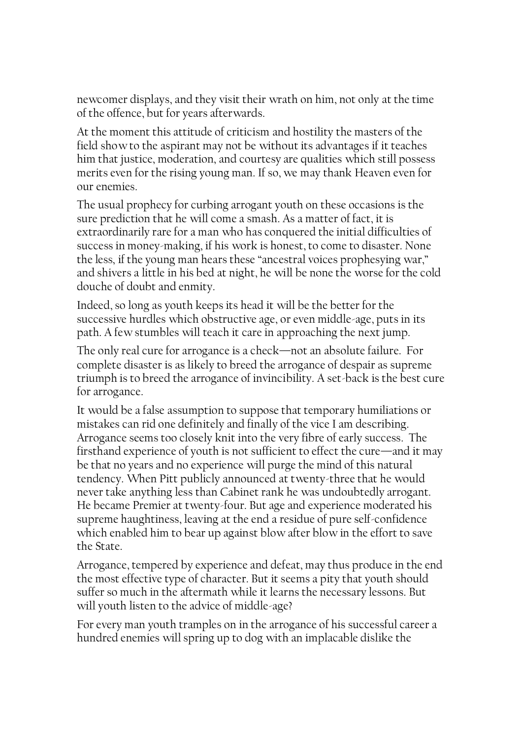newcomer displays, and they visit their wrath on him, not only at the time of the offence, but for years afterwards.

At the moment this attitude of criticism and hostility the masters of the field show to the aspirant may not be without its advantages if it teaches him that justice, moderation, and courtesy are qualities which still possess merits even for the rising young man. If so, we may thank Heaven even for our enemies.

The usual prophecy for curbing arrogant youth on these occasions is the sure prediction that he will come a smash. As a matter of fact, it is extraordinarily rare for a man who has conquered the initial difficulties of success in money-making, if his work is honest, to come to disaster. None the less, if the young man hears these "ancestral voices prophesying war," and shivers a little in his bed at night, he will be none the worse for the cold douche of doubt and enmity.

Indeed, so long as youth keeps its head it will be the better for the successive hurdles which obstructive age, or even middle-age, puts in its path. A few stumbles will teach it care in approaching the next jump.

The only real cure for arrogance is a check—not an absolute failure. For complete disaster is as likely to breed the arrogance of despair as supreme triumph is to breed the arrogance of invincibility. A set-back is the best cure for arrogance.

It would be a false assumption to suppose that temporary humiliations or mistakes can rid one definitely and finally of the vice I am describing. Arrogance seems too closely knit into the very fibre of early success. The firsthand experience of youth is not sufficient to effect the cure—and it may be that no years and no experience will purge the mind of this natural tendency. When Pitt publicly announced at twenty-three that he would never take anything less than Cabinet rank he was undoubtedly arrogant. He became Premier at twenty-four. But age and experience moderated his supreme haughtiness, leaving at the end a residue of pure self-confidence which enabled him to bear up against blow after blow in the effort to save the State.

Arrogance, tempered by experience and defeat, may thus produce in the end the most effective type of character. But it seems a pity that youth should suffer so much in the aftermath while it learns the necessary lessons. But will youth listen to the advice of middle-age?

For every man youth tramples on in the arrogance of his successful career a hundred enemies will spring up to dog with an implacable dislike the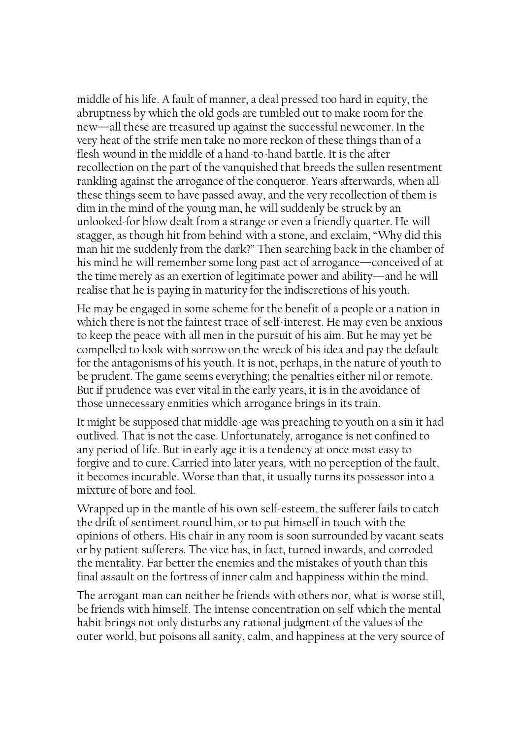middle of his life. A fault of manner, a deal pressed too hard in equity, the abruptness by which the old gods are tumbled out to make room for the new—all these are treasured up against the successful newcomer. In the very heat of the strife men take no more reckon of these things than of a flesh wound in the middle of a hand-to-hand battle. It is the after recollection on the part of the vanquished that breeds the sullen resentment rankling against the arrogance of the conqueror. Years afterwards, when all these things seem to have passed away, and the very recollection of them is dim in the mind of the young man, he will suddenly be struck by an unlooked-for blow dealt from a strange or even a friendly quarter. He will stagger, as though hit from behind with a stone, and exclaim, "Why did this man hit me suddenly from the dark?" Then searching back in the chamber of his mind he will remember some long past act of arrogance—conceived of at the time merely as an exertion of legitimate power and ability—and he will realise that he is paying in maturity for the indiscretions of his youth.

He may be engaged in some scheme for the benefit of a people or a nation in which there is not the faintest trace of self-interest. He may even be anxious to keep the peace with all men in the pursuit of his aim. But he may yet be compelled to look with sorrow on the wreck of his idea and pay the default for the antagonisms of his youth. It is not, perhaps, in the nature of youth to be prudent. The game seems everything; the penalties either nil or remote. But if prudence was ever vital in the early years, it is in the avoidance of those unnecessary enmities which arrogance brings in its train.

It might be supposed that middle-age was preaching to youth on a sin it had outlived. That is not the case. Unfortunately, arrogance is not confined to any period of life. But in early age it is a tendency at once most easy to forgive and to cure. Carried into later years, with no perception of the fault, it becomes incurable. Worse than that, it usually turns its possessor into a mixture of bore and fool.

Wrapped up in the mantle of his own self-esteem, the sufferer fails to catch the drift of sentiment round him, or to put himself in touch with the opinions of others. His chair in any room is soon surrounded by vacant seats or by patient sufferers. The vice has, in fact, turned inwards, and corroded the mentality. Far better the enemies and the mistakes of youth than this final assault on the fortress of inner calm and happiness within the mind.

The arrogant man can neither be friends with others nor, what is worse still, be friends with himself. The intense concentration on self which the mental habit brings not only disturbs any rational judgment of the values of the outer world, but poisons all sanity, calm, and happiness at the very source of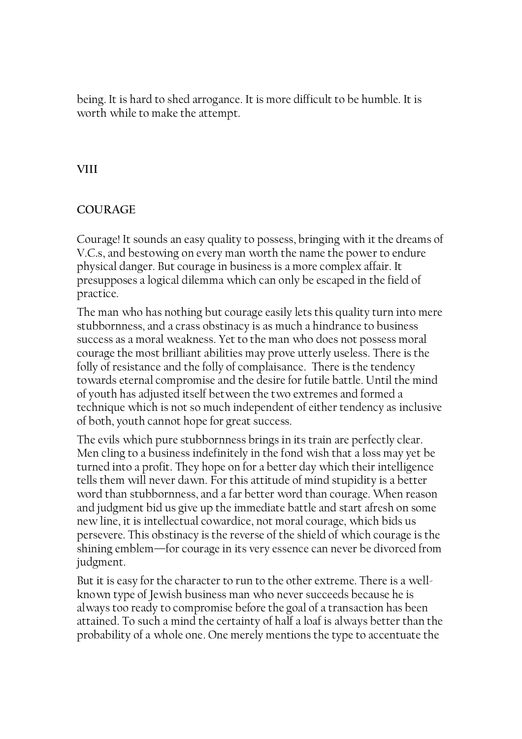being. It is hard to shed arrogance. It is more difficult to be humble. It is worth while to make the attempt.

# **VIII**

# COUR AGE

Courage! It sounds an easy quality to possess, bringing with it the dreams of V.C.s, and bestowing on every man worth the name the power to endure physical danger. But courage in business is a more complex affair. It presupposes a logical dilemma which can only be escaped in the field of practice.

The man who has nothing but courage easily lets this quality turn into mere stubbornness, and a crass obstinacy is as much a hindrance to business success as a moral weakness. Yet to the man who does not possess moral courage the most brilliant abilities may prove utterly useless. There is the folly of resistance and the folly of complaisance. There is the tendency towards eternal compromise and the desire for futile battle. Until the mind of youth has adjusted itself between the two extremes and formed a technique which is not so much independent of either tendency as inclusive of both, youth cannot hope for great success.

The evils which pure stubbornness brings in its train are perfectly clear. Men cling to a business indefinitely in the fond wish that a loss may yet be turned into a profit. They hope on for a better day which their intelligence tells them will never dawn. For this attitude of mind stupidity is a better word than stubbornness, and a far better word than courage. When reason and judgment bid us give up the immediate battle and start afresh on some new line, it is intellectual cowardice, not moral courage, which bids us persevere. This obstinacy is the reverse of the shield of which courage is the shining emblem—for courage in its very essence can never be divorced from judgment.

But it is easy for the character to run to the other extreme. There is a wellknown type of Jewish business man who never succeeds because he is always too ready to compromise before the goal of a transaction has been attained. To such a mind the certainty of half a loaf is always better than the probability of a whole one. One merely mentions the type to accentuate the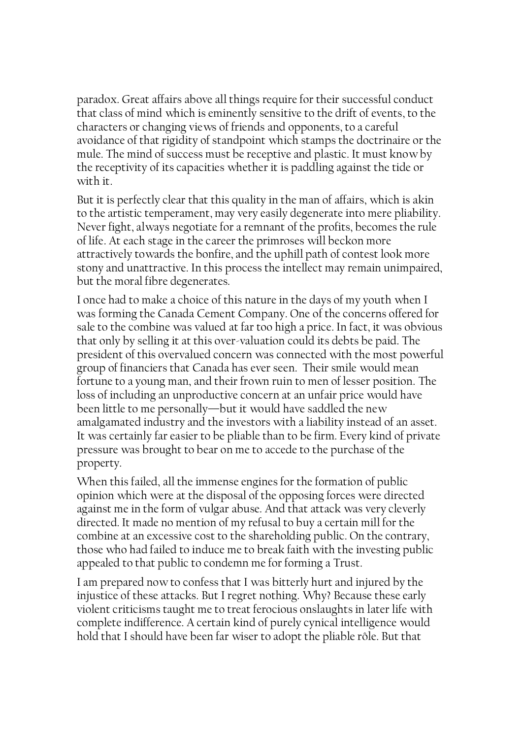paradox. Great affairs above all things require for their successful conduct that class of mind which is eminently sensitive to the drift of events, to the characters or changing views of friends and opponents, to a careful avoidance of that rigidity of standpoint which stamps the doctrinaire or the mule. The mind of success must be receptive and plastic. It must know by the receptivity of its capacities whether it is paddling against the tide or with it.

But it is perfectly clear that this quality in the man of affairs, which is akin to the artistic temperament, may very easily degenerate into mere pliability. Never fight, always negotiate for a remnant of the profits, becomes the rule of life. At each stage in the career the primroses will beckon more attractively towards the bonfire, and the uphill path of contest look more stony and unattractive. In this process the intellect may remain unimpaired, but the moral fibre degenerates.

I once had to make a choice of this nature in the days of my youth when I was forming the Canada Cement Company. One of the concerns offered for sale to the combine was valued at far too high a price. In fact, it was obvious that only by selling it at this over-valuation could its debts be paid. The president of this overvalued concern was connected with the most powerful group of financiers that Canada has ever seen. Their smile would mean fortune to a young man, and their frown ruin to men of lesser position. The loss of including an unproductive concern at an unfair price would have been little to me personally—but it would have saddled the new amalgamated industry and the investors with a liability instead of an asset. It was certainly far easier to be pliable than to be firm. Every kind of private pressure was brought to bear on me to accede to the purchase of the property.

When this failed, all the immense engines for the formation of public opinion which were at the disposal of the opposing forces were directed against me in the form of vulgar abuse. And that attack was very cleverly directed. It made no mention of my refusal to buy a certain mill for the combine at an excessive cost to the shareholding public. On the contrary, those who had failed to induce me to break faith with the investing public appealed to that public to condemn me for forming a Trust.

I am prepared now to confess that I was bitterly hurt and injured by the injustice of these attacks. But I regret nothing. Why? Because these early violent criticisms taught me to treat ferocious onslaughts in later life with complete indifference. A certain kind of purely cynical intelligence would hold that I should have been far wiser to adopt the pliable rôle. But that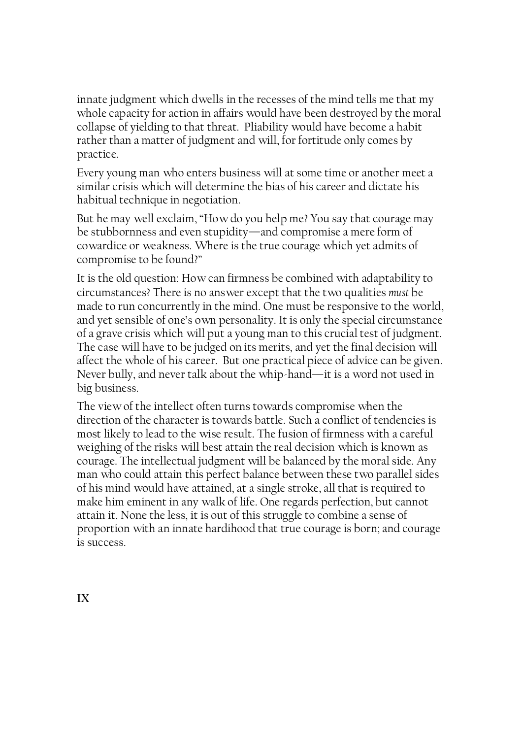innate judgment which dwells in the recesses of the mind tells me that my whole capacity for action in affairs would have been destroyed by the moral collapse of yielding to that threat. Pliability would have become a habit rather than a matter of judgment and will, for fortitude only comes by practice.

Every young man who enters business will at some time or another meet a similar crisis which will determine the bias of his career and dictate his habitual technique in negotiation.

But he may well exclaim, "How do you help me? You say that courage may be stubbornness and even stupidity—and compromise a mere form of cowardice or weakness. Where is the true courage which yet admits of compromise to be found?"

It is the old question: How can firmness be combined with adaptability to circumstances? There is no answer except that the two qualities must be made to run concurrently in the mind. One must be responsive to the world, and yet sensible of one's own personality. It is only the special circumstance of a grave crisis which will put a young man to this crucial test of judgment. The case will have to be judged on its merits, and yet the final decision will affect the whole of his career. But one practical piece of advice can be given. Never bully, and never talk about the whip-hand—it is a word not used in big business.

The view of the intellect often turns towards compromise when the direction of the character is towards battle. Such a conflict of tendencies is most likely to lead to the wise result. The fusion of firmness with a careful weighing of the risks will best attain the real decision which is known as courage. The intellectual judgment will be balanced by the moral side. Any man who could attain this perfect balance between these two parallel sides of his mind would have attained, at a single stroke, all that is required to make him eminent in any walk of life. One regards perfection, but cannot attain it. None the less, it is out of this struggle to combine a sense of proportion with an innate hardihood that true courage is born; and courage is success.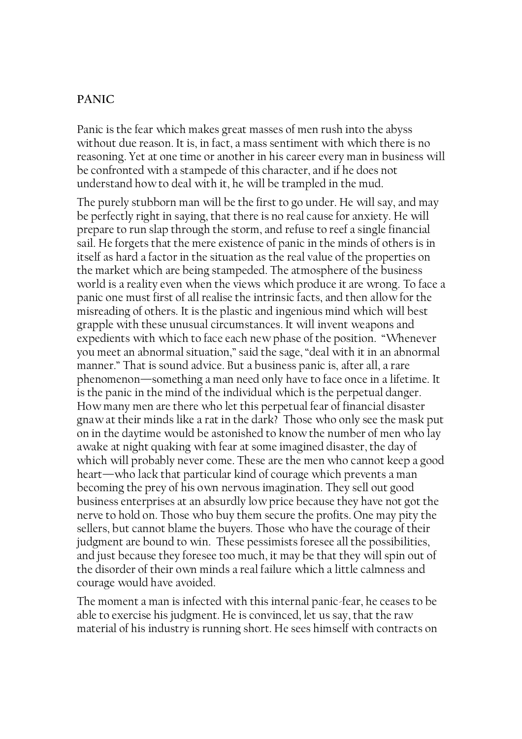## PANIC

Panic is the fear which makes great masses of men rush into the abyss without due reason. It is, in fact, a mass sentiment with which there is no reasoning. Yet at one time or another in his career every man in business will be confronted with a stampede of this character, and if he does not understand how to deal with it, he will be trampled in the mud.

The purely stubborn man will be the first to go under. He will say, and may be perfectly right in saying, that there is no real cause for anxiety. He will prepare to run slap through the storm, and refuse to reef a single financial sail. He forgets that the mere existence of panic in the minds of others is in itself as hard a factor in the situation as the real value of the properties on the market which are being stampeded. The atmosphere of the business world is a reality even when the views which produce it are wrong. To face a panic one must first of all realise the intrinsic facts, and then allow for the misreading of others. It is the plastic and ingenious mind which will best grapple with these unusual circumstances. It will invent weapons and expedients with which to face each new phase of the position. "Whenever you meet an abnormal situation," said the sage, "deal with it in an abnormal manner." That is sound advice. But a business panic is, after all, a rare phenomenon—something a man need only have to face once in a lifetime. It is the panic in the mind of the individual which is the perpetual danger. How many men are there who let this perpetual fear of financial disaster gnaw at their minds like a rat in the dark? Those who only see the mask put on in the daytime would be astonished to know the number of men who lay awake at night quaking with fear at some imagined disaster, the day of which will probably never come. These are the men who cannot keep a good heart—who lack that particular kind of courage which prevents a man becoming the prey of his own nervous imagination. They sell out good business enterprises at an absurdly low price because they have not got the nerve to hold on. Those who buy them secure the profits. One may pity the sellers, but cannot blame the buyers. Those who have the courage of their judgment are bound to win. These pessimists foresee all the possibilities, and just because they foresee too much, it may be that they will spin out of the disorder of their own minds a real failure which a little calmness and courage would have avoided.

The moment a man is infected with this internal panic-fear, he ceases to be able to exercise his judgment. He is convinced, let us say, that the raw material of his industry is running short. He sees himself with contracts on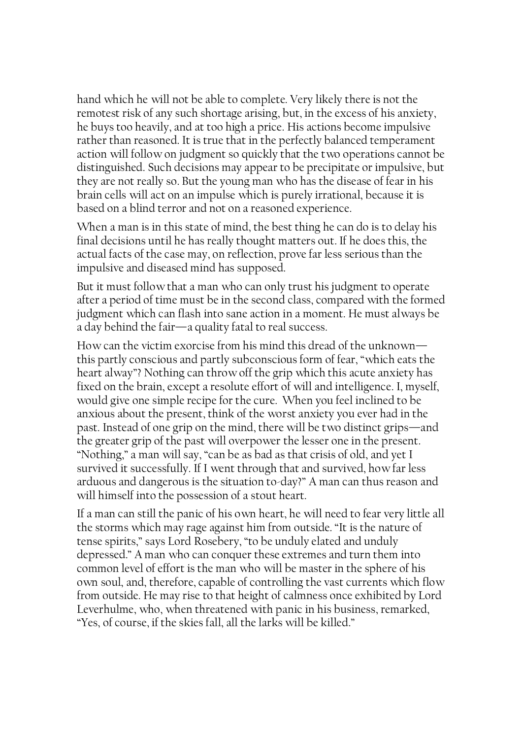hand which he will not be able to complete. Very likely there is not the remotest risk of any such shortage arising, but, in the excess of his anxiety, he buys too heavily, and at too high a price. His actions become impulsive rather than reasoned. It is true that in the perfectly balanced temperament action will follow on judgment so quickly that the two operations cannot be distinguished. Such decisions may appear to be precipitate or impulsive, but they are not really so. But the young man who has the disease of fear in his brain cells will act on an impulse which is purely irrational, because it is based on a blind terror and not on a reasoned experience.

When a man is in this state of mind, the best thing he can do is to delay his final decisions until he has really thought matters out. If he does this, the actual facts of the case may, on reflection, prove far less serious than the impulsive and diseased mind has supposed.

But it must follow that a man who can only trust his judgment to operate after a period of time must be in the second class, compared with the formed judgment which can flash into sane action in a moment. He must always be a day behind the fair—a quality fatal to real success.

How can the victim exorcise from his mind this dread of the unknown this partly conscious and partly subconscious form of fear, "which eats the heart alway"? Nothing can throw off the grip which this acute anxiety has fixed on the brain, except a resolute effort of will and intelligence. I, myself, would give one simple recipe for the cure. When you feel inclined to be anxious about the present, think of the worst anxiety you ever had in the past. Instead of one grip on the mind, there will be two distinct grips—and the greater grip of the past will overpower the lesser one in the present. "Nothing," a man will say, "can be as bad as that crisis of old, and yet I survived it successfully. If I went through that and survived, how far less arduous and dangerous is the situation to-day?" A man can thus reason and will himself into the possession of a stout heart.

If a man can still the panic of his own heart, he will need to fear very little all the storms which may rage against him from outside. "It is the nature of tense spirits," says Lord Rosebery, "to be unduly elated and unduly depressed." A man who can conquer these extremes and turn them into common level of effort is the man who will be master in the sphere of his own soul, and, therefore, capable of controlling the vast currents which flow from outside. He may rise to that height of calmness once exhibited by Lord Leverhulme, who, when threatened with panic in his business, remarked, "Yes, of course, if the skies fall, all the larks will be killed."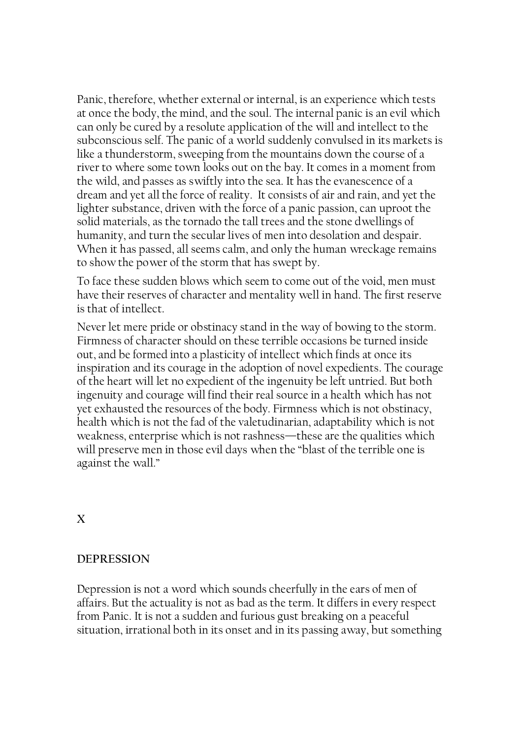Panic, therefore, whether external or internal, is an experience which tests at once the body, the mind, and the soul. The internal panic is an evil which can only be cured by a resolute application of the will and intellect to the subconscious self. The panic of a world suddenly convulsed in its markets is like a thunderstorm, sweeping from the mountains down the course of a river to where some town looks out on the bay. It comes in a moment from the wild, and passes as swiftly into the sea. It has the evanescence of a dream and yet all the force of reality. It consists of air and rain, and yet the lighter substance, driven with the force of a panic passion, can uproot the solid materials, as the tornado the tall trees and the stone dwellings of humanity, and turn the secular lives of men into desolation and despair. When it has passed, all seems calm, and only the human wreckage remains to show the power of the storm that has swept by.

To face these sudden blows which seem to come out of the void, men must have their reserves of character and mentality well in hand. The first reserve is that of intellect.

Never let mere pride or obstinacy stand in the way of bowing to the storm. Firmness of character should on these terrible occasions be turned inside out, and be formed into a plasticity of intellect which finds at once its inspiration and its courage in the adoption of novel expedients. The courage of the heart will let no expedient of the ingenuity be left untried. But both ingenuity and courage will find their real source in a health which has not yet exhausted the resources of the body. Firmness which is not obstinacy, health which is not the fad of the valetudinarian, adaptability which is not weakness, enterprise which is not rashness—these are the qualities which will preserve men in those evil days when the "blast of the terrible one is against the wall."

X

#### DEPRESSION

Depression is not a word which sounds cheerfully in the ears of men of affairs. But the actuality is not as bad as the term. It differs in every respect from Panic. It is not a sudden and furious gust breaking on a peaceful situation, irrational both in its onset and in its passing away, but something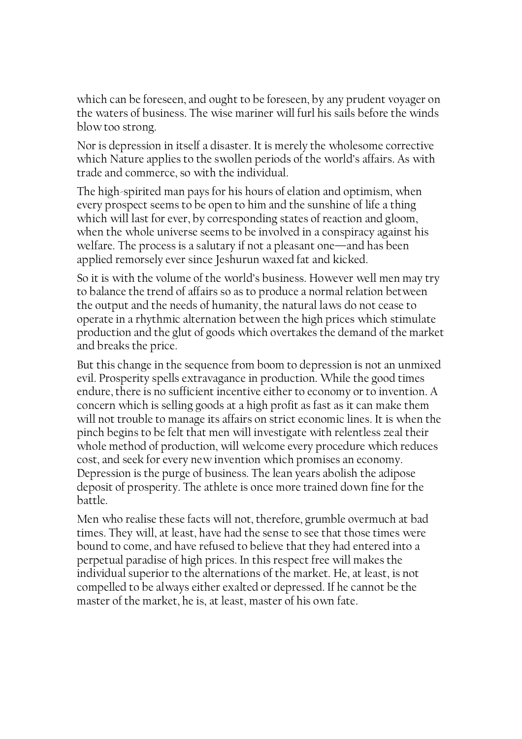which can be foreseen, and ought to be foreseen, by any prudent voyager on the waters of business. The wise mariner will furl his sails before the winds blow too strong.

Nor is depression in itself a disaster. It is merely the wholesome corrective which Nature applies to the swollen periods of the world's affairs. As with trade and commerce, so with the individual.

The high-spirited man pays for his hours of elation and optimism, when every prospect seems to be open to him and the sunshine of life a thing which will last for ever, by corresponding states of reaction and gloom, when the whole universe seems to be involved in a conspiracy against his welfare. The process is a salutary if not a pleasant one—and has been applied remorsely ever since Jeshurun waxed fat and kicked.

So it is with the volume of the world's business. However well men may try to balance the trend of affairs so as to produce a normal relation between the output and the needs of humanity, the natural laws do not cease to operate in a rhythmic alternation between the high prices which stimulate production and the glut of goods which overtakes the demand of the market and breaks the price.

But this change in the sequence from boom to depression is not an unmixed evil. Prosperity spells extravagance in production. While the good times endure, there is no sufficient incentive either to economy or to invention. A concern which is selling goods at a high profit as fast as it can make them will not trouble to manage its affairs on strict economic lines. It is when the pinch begins to be felt that men will investigate with relentless zeal their whole method of production, will welcome every procedure which reduces cost, and seek for every new invention which promises an economy. Depression is the purge of business. The lean years abolish the adipose deposit of prosperity. The athlete is once more trained down fine for the battle.

Men who realise these facts will not, therefore, grumble overmuch at bad times. They will, at least, have had the sense to see that those times were bound to come, and have refused to believe that they had entered into a perpetual paradise of high prices. In this respect free will makes the individual superior to the alternations of the market. He, at least, is not compelled to be always either exalted or depressed. If he cannot be the master of the market, he is, at least, master of his own fate.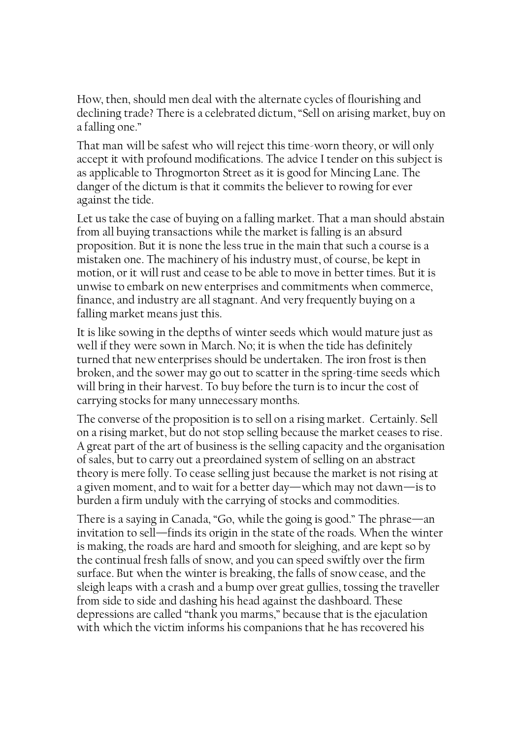How, then, should men deal with the alternate cycles of flourishing and declining trade? There is a celebrated dictum, "Sell on arising market, buy on a falling one."

That man will be safest who will reject this time-worn theory, or will only accept it with profound modifications. The advice I tender on this subject is as applicable to Throgmorton Street as it is good for Mincing Lane. The danger of the dictum is that it commits the believer to rowing for ever against the tide.

Let us take the case of buying on a falling market. That a man should abstain from all buying transactions while the market is falling is an absurd proposition. But it is none the less true in the main that such a course is a mistaken one. The machinery of his industry must, of course, be kept in motion, or it will rust and cease to be able to move in better times. But it is unwise to embark on new enterprises and commitments when commerce, finance, and industry are all stagnant. And very frequently buying on a falling market means just this.

It is like sowing in the depths of winter seeds which would mature just as well if they were sown in March. No; it is when the tide has definitely turned that new enterprises should be undertaken. The iron frost is then broken, and the sower may go out to scatter in the spring-time seeds which will bring in their harvest. To buy before the turn is to incur the cost of carrying stocks for many unnecessary months.

The converse of the proposition is to sell on a rising market. Certainly. Sell on a rising market, but do not stop selling because the market ceases to rise. A great part of the art of business is the selling capacity and the organisation of sales, but to carry out a preordained system of selling on an abstract theory is mere folly. To cease selling just because the market is not rising at a given moment, and to wait for a better day—which may not dawn—is to burden a firm unduly with the carrying of stocks and commodities.

There is a saying in Canada, "Go, while the going is good." The phrase—an invitation to sell—finds its origin in the state of the roads. When the winter is making, the roads are hard and smooth for sleighing, and are kept so by the continual fresh falls of snow, and you can speed swiftly over the firm surface. But when the winter is breaking, the falls of snow cease, and the sleigh leaps with a crash and a bump over great gullies, tossing the traveller from side to side and dashing his head against the dashboard. These depressions are called "thank you marms," because that is the ejaculation with which the victim informs his companions that he has recovered his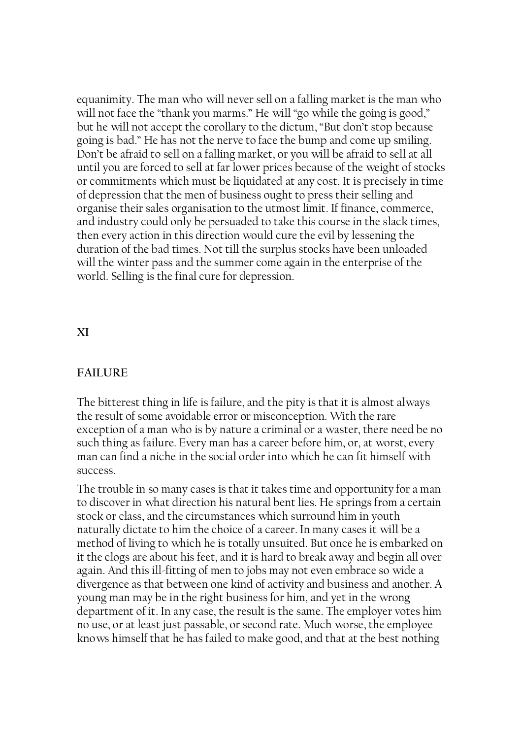equanimity. The man who will never sell on a falling market is the man who will not face the "thank you marms." He will "go while the going is good," but he will not accept the corollary to the dictum, "But don't stop because going is bad." He has not the nerve to face the bump and come up smiling. Don't be afraid to sell on a falling market, or you will be afraid to sell at all until you are forced to sell at far lower prices because of the weight of stocks or commitments which must be liquidated at any cost. It is precisely in time of depression that the men of business ought to press their selling and organise their sales organisation to the utmost limit. If finance, commerce, and industry could only be persuaded to take this course in the slack times, then every action in this direction would cure the evil by lessening the duration of the bad times. Not till the surplus stocks have been unloaded will the winter pass and the summer come again in the enterprise of the world. Selling is the final cure for depression.

## XI

## FAILURE

The bitterest thing in life is failure, and the pity is that it is almost always the result of some avoidable error or misconception. With the rare exception of a man who is by nature a criminal or a waster, there need be no such thing as failure. Every man has a career before him, or, at worst, every man can find a niche in the social order into which he can fit himself with success.

The trouble in so many cases is that it takes time and opportunity for a man to discover in what direction his natural bent lies. He springs from a certain stock or class, and the circumstances which surround him in youth naturally dictate to him the choice of a career. In many cases it will be a method of living to which he is totally unsuited. But once he is embarked on it the clogs are about his feet, and it is hard to break away and begin all over again. And this ill-fitting of men to jobs may not even embrace so wide a divergence as that between one kind of activity and business and another. A young man may be in the right business for him, and yet in the wrong department of it. In any case, the result is the same. The employer votes him no use, or at least just passable, or second rate. Much worse, the employee knows himself that he has failed to make good, and that at the best nothing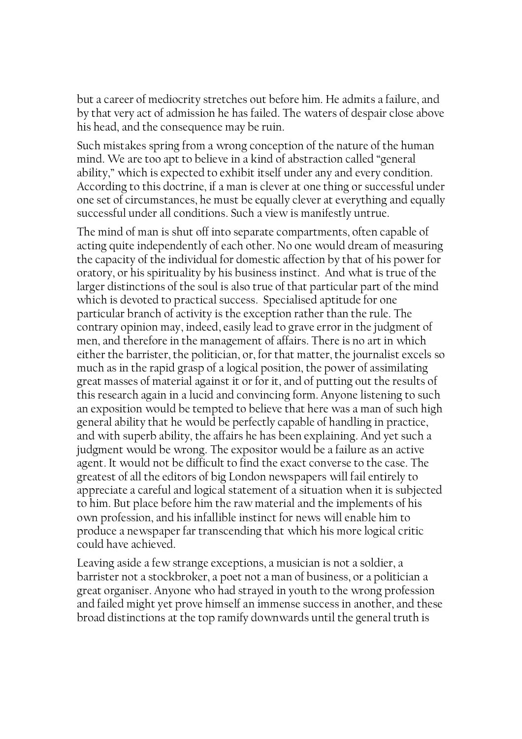but a career of mediocrity stretches out before him. He admits a failure, and by that very act of admission he has failed. The waters of despair close above his head, and the consequence may be ruin.

Such mistakes spring from a wrong conception of the nature of the human mind. We are too apt to believe in a kind of abstraction called "general ability," which is expected to exhibit itself under any and every condition. According to this doctrine, if a man is clever at one thing or successful under one set of circumstances, he must be equally clever at everything and equally successful under all conditions. Such a view is manifestly untrue.

The mind of man is shut off into separate compartments, often capable of acting quite independently of each other. No one would dream of measuring the capacity of the individual for domestic affection by that of his power for oratory, or his spirituality by his business instinct. And what is true of the larger distinctions of the soul is also true of that particular part of the mind which is devoted to practical success. Specialised aptitude for one particular branch of activity is the exception rather than the rule. The contrary opinion may, indeed, easily lead to grave error in the judgment of men, and therefore in the management of affairs. There is no art in which either the barrister, the politician, or, for that matter, the journalist excels so much as in the rapid grasp of a logical position, the power of assimilating great masses of material against it or for it, and of putting out the results of this research again in a lucid and convincing form. Anyone listening to such an exposition would be tempted to believe that here was a man of such high general ability that he would be perfectly capable of handling in practice, and with superb ability, the affairs he has been explaining. And yet such a judgment would be wrong. The expositor would be a failure as an active agent. It would not be difficult to find the exact converse to the case. The greatest of all the editors of big London newspapers will fail entirely to appreciate a careful and logical statement of a situation when it is subjected to him. But place before him the raw material and the implements of his own profession, and his infallible instinct for news will enable him to produce a newspaper far transcending that which his more logical critic could have achieved.

Leaving aside a few strange exceptions, a musician is not a soldier, a barrister not a stockbroker, a poet not a man of business, or a politician a great organiser. Anyone who had strayed in youth to the wrong profession and failed might yet prove himself an immense success in another, and these broad distinctions at the top ramify downwards until the general truth is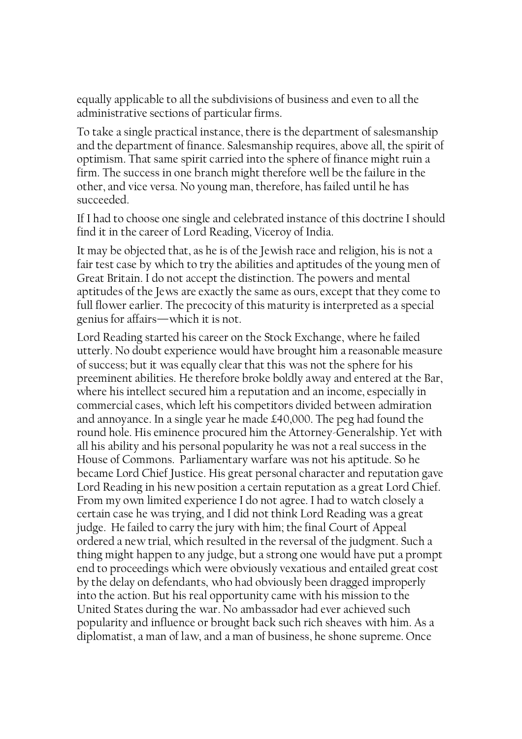equally applicable to all the subdivisions of business and even to all the administrative sections of particular firms.

To take a single practical instance, there is the department of salesmanship and the department of finance. Salesmanship requires, above all, the spirit of optimism. That same spirit carried into the sphere of finance might ruin a firm. The success in one branch might therefore well be the failure in the other, and vice versa. No young man, therefore, has failed until he has succeeded.

If I had to choose one single and celebrated instance of this doctrine I should find it in the career of Lord Reading, Viceroy of India.

It may be objected that, as he is of the Jewish race and religion, his is not a fair test case by which to try the abilities and aptitudes of the young men of Great Britain. I do not accept the distinction. The powers and mental aptitudes of the Jews are exactly the same as ours, except that they come to full flower earlier. The precocity of this maturity is interpreted as a special genius for affairs—which it is not.

Lord Reading started his career on the Stock Exchange, where he failed utterly. No doubt experience would have brought him a reasonable measure of success; but it was equally clear that this was not the sphere for his preeminent abilities. He therefore broke boldly away and entered at the Bar, where his intellect secured him a reputation and an income, especially in commercial cases, which left his competitors divided between admiration and annoyance. In a single year he made £40,000. The peg had found the round hole. His eminence procured him the Attorney-Generalship. Yet with all his ability and his personal popularity he was not a real success in the House of Commons. Parliamentary warfare was not his aptitude. So he became Lord Chief Justice. His great personal character and reputation gave Lord Reading in his new position a certain reputation as a great Lord Chief. From my own limited experience I do not agree. I had to watch closely a certain case he was trying, and I did not think Lord Reading was a great judge. He failed to carry the jury with him; the final Court of Appeal ordered a new trial, which resulted in the reversal of the judgment. Such a thing might happen to any judge, but a strong one would have put a prompt end to proceedings which were obviously vexatious and entailed great cost by the delay on defendants, who had obviously been dragged improperly into the action. But his real opportunity came with his mission to the United States during the war. No ambassador had ever achieved such popularity and influence or brought back such rich sheaves with him. As a diplomatist, a man of law, and a man of business, he shone supreme. Once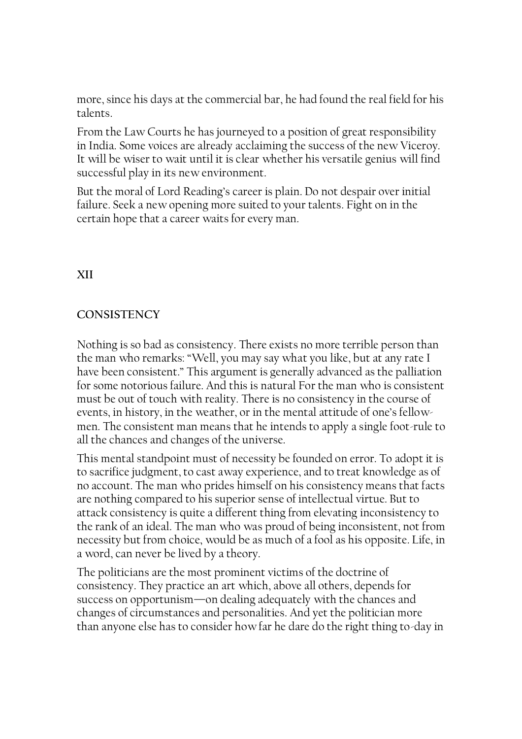more, since his days at the commercial bar, he had found the real field for his talents.

From the Law Courts he has journeyed to a position of great responsibility in India. Some voices are already acclaiming the success of the new Viceroy. It will be wiser to wait until it is clear whether his versatile genius will find successful play in its new environment.

But the moral of Lord Reading's career is plain. Do not despair over initial failure. Seek a new opening more suited to your talents. Fight on in the certain hope that a career waits for every man.

# XII

# **CONSISTENCY**

Nothing is so bad as consistency. There exists no more terrible person than the man who remarks: "Well, you may say what you like, but at any rate I have been consistent." This argument is generally advanced as the palliation for some notorious failure. And this is natural For the man who is consistent must be out of touch with reality. There is no consistency in the course of events, in history, in the weather, or in the mental attitude of one's fellowmen. The consistent man means that he intends to apply a single foot-rule to all the chances and changes of the universe.

This mental standpoint must of necessity be founded on error. To adopt it is to sacrifice judgment, to cast away experience, and to treat knowledge as of no account. The man who prides himself on his consistency means that facts are nothing compared to his superior sense of intellectual virtue. But to attack consistency is quite a different thing from elevating inconsistency to the rank of an ideal. The man who was proud of being inconsistent, not from necessity but from choice, would be as much of a fool as his opposite. Life, in a word, can never be lived by a theory.

The politicians are the most prominent victims of the doctrine of consistency. They practice an art which, above all others, depends for success on opportunism—on dealing adequately with the chances and changes of circumstances and personalities. And yet the politician more than anyone else has to consider how far he dare do the right thing to-day in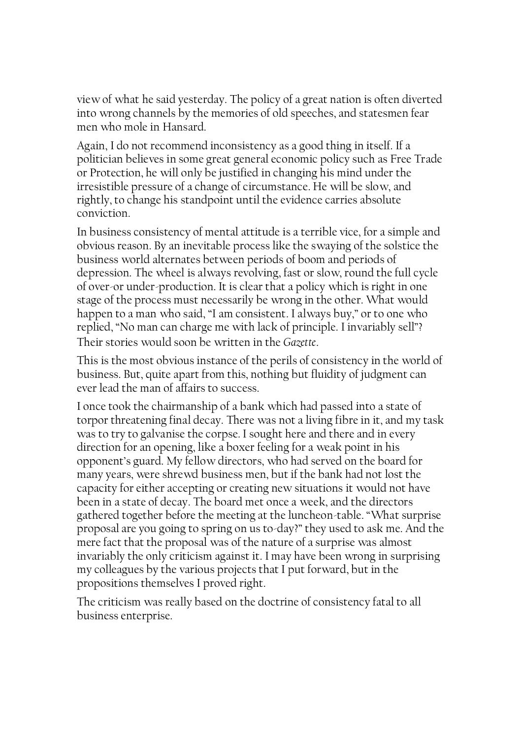view of what he said yesterday. The policy of a great nation is often diverted into wrong channels by the memories of old speeches, and statesmen fear men who mole in Hansard.

Again, I do not recommend inconsistency as a good thing in itself. If a politician believes in some great general economic policy such as Free Trade or Protection, he will only be justified in changing his mind under the irresistible pressure of a change of circumstance. He will be slow, and rightly, to change his standpoint until the evidence carries absolute conviction.

In business consistency of mental attitude is a terrible vice, for a simple and obvious reason. By an inevitable process like the swaying of the solstice the business world alternates between periods of boom and periods of depression. The wheel is always revolving, fast or slow, round the full cycle of over-or under-production. It is clear that a policy which is right in one stage of the process must necessarily be wrong in the other. What would happen to a man who said, "I am consistent. I always buy," or to one who replied, "No man can charge me with lack of principle. I invariably sell"? Their stories would soon be written in the Gazette.

This is the most obvious instance of the perils of consistency in the world of business. But, quite apart from this, nothing but fluidity of judgment can ever lead the man of affairs to success.

I once took the chairmanship of a bank which had passed into a state of torpor threatening final decay. There was not a living fibre in it, and my task was to try to galvanise the corpse. I sought here and there and in every direction for an opening, like a boxer feeling for a weak point in his opponent's guard. My fellow directors, who had served on the board for many years, were shrewd business men, but if the bank had not lost the capacity for either accepting or creating new situations it would not have been in a state of decay. The board met once a week, and the directors gathered together before the meeting at the luncheon-table. "What surprise proposal are you going to spring on us to-day?" they used to ask me. And the mere fact that the proposal was of the nature of a surprise was almost invariably the only criticism against it. I may have been wrong in surprising my colleagues by the various projects that I put forward, but in the propositions themselves I proved right.

The criticism was really based on the doctrine of consistency fatal to all business enterprise.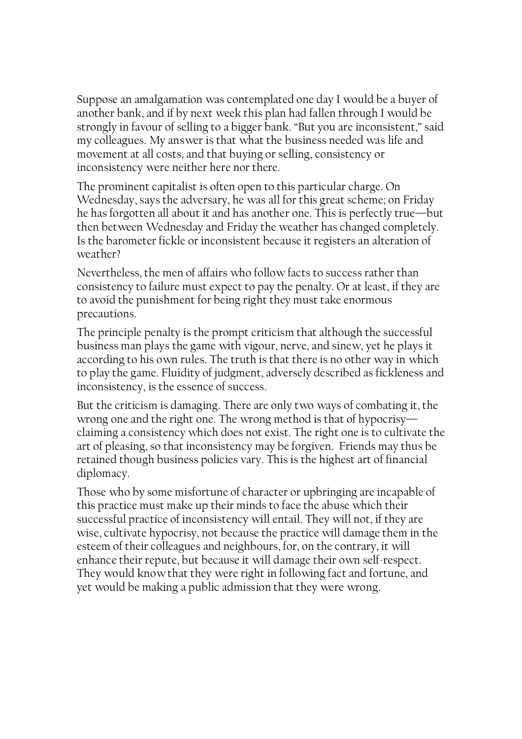Suppose an amalgamation was contemplated one day I would be a buyer of another bank, and if by next week this plan had fallen through I would be strongly in favour of selling to a bigger bank. "But you are inconsistent," said my colleagues. My answer is that what the business needed was life and movement at all costs, and that buying or selling, consistency or inconsistency were neither here nor there.

The prominent capitalist is often open to this particular charge. On Wednesday, says the adversary, he was all for this great scheme; on Friday he has forgotten all about it and has another one. This is perfectly true—but then between Wednesday and Friday the weather has changed completely. Is the barometer fickle or inconsistent because it registers an alteration of weather?

Nevertheless, the men of affairs who follow facts to success rather than consistency to failure must expect to pay the penalty. Or at least, if they are to avoid the punishment for being right they must take enormous precautions.

The principle penalty is the prompt criticism that although the successful business man plays the game with vigour, nerve, and sinew, yet he plays it according to his own rules. The truth is that there is no other way in which to play the game. Fluidity of judgment, adversely described as fickleness and inconsistency, is the essence of success.

But the criticism is damaging. There are only two ways of combating it, the wrong one and the right one. The wrong method is that of hypocrisy claiming a consistency which does not exist. The right one is to cultivate the art of pleasing, so that inconsistency may be forgiven. Friends may thus be retained though business policies vary. This is the highest art of financial diplomacy.

Those who by some misfortune of character or upbringing are incapable of this practice must make up their minds to face the abuse which their successful practice of inconsistency will entail. They will not, if they are wise, cultivate hypocrisy, not because the practice will damage them in the esteem of their colleagues and neighbours, for, on the contrary, it will enhance their repute, but because it will damage their own self-respect. They would know that they were right in following fact and fortune, and yet would be making a public admission that they were wrong.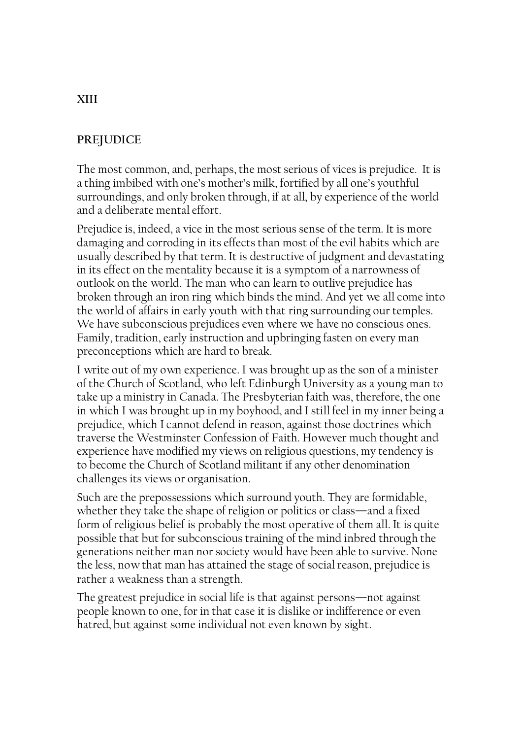## **PREJUDICE**

The most common, and, perhaps, the most serious of vices is prejudice. It is a thing imbibed with one's mother's milk, fortified by all one's youthful surroundings, and only broken through, if at all, by experience of the world and a deliberate mental effort.

Prejudice is, indeed, a vice in the most serious sense of the term. It is more damaging and corroding in its effects than most of the evil habits which are usually described by that term. It is destructive of judgment and devastating in its effect on the mentality because it is a symptom of a narrowness of outlook on the world. The man who can learn to outlive prejudice has broken through an iron ring which binds the mind. And yet we all come into the world of affairs in early youth with that ring surrounding our temples. We have subconscious prejudices even where we have no conscious ones. Family, tradition, early instruction and upbringing fasten on every man preconceptions which are hard to break.

I write out of my own experience. I was brought up as the son of a minister of the Church of Scotland, who left Edinburgh University as a young man to take up a ministry in Canada. The Presbyterian faith was, therefore, the one in which I was brought up in my boyhood, and I still feel in my inner being a prejudice, which I cannot defend in reason, against those doctrines which traverse the Westminster Confession of Faith. However much thought and experience have modified my views on religious questions, my tendency is to become the Church of Scotland militant if any other denomination challenges its views or organisation.

Such are the prepossessions which surround youth. They are formidable, whether they take the shape of religion or politics or class—and a fixed form of religious belief is probably the most operative of them all. It is quite possible that but for subconscious training of the mind inbred through the generations neither man nor society would have been able to survive. None the less, now that man has attained the stage of social reason, prejudice is rather a weakness than a strength.

The greatest prejudice in social life is that against persons—not against people known to one, for in that case it is dislike or indifference or even hatred, but against some individual not even known by sight.

## XIII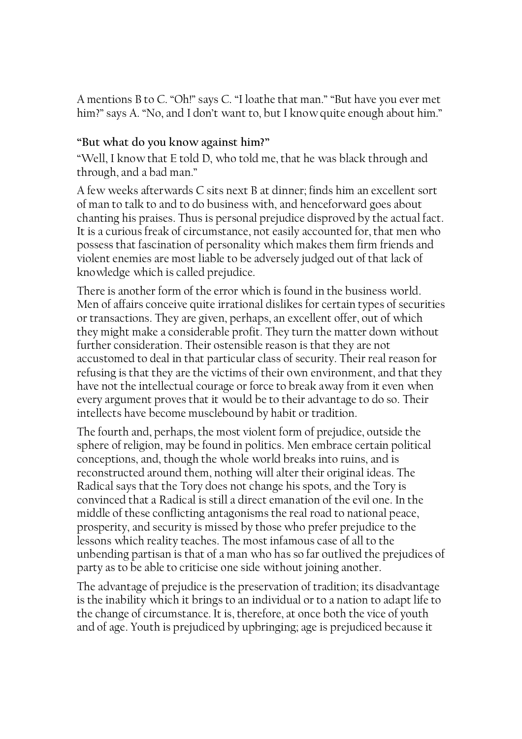A mentions B to C. "Oh!" says C. "I loathe that man." "But have you ever met him?" says A. "No, and I don't want to, but I know quite enough about him."

# "But what do you know against him?"

"Well, I know that E told D, who told me, that he was black through and through, and a bad man."

A few weeks afterwards C sits next B at dinner; finds him an excellent sort of man to talk to and to do business with, and henceforward goes about chanting his praises. Thus is personal prejudice disproved by the actual fact. It is a curious freak of circumstance, not easily accounted for, that men who possess that fascination of personality which makes them firm friends and violent enemies are most liable to be adversely judged out of that lack of knowledge which is called prejudice.

There is another form of the error which is found in the business world. Men of affairs conceive quite irrational dislikes for certain types of securities or transactions. They are given, perhaps, an excellent offer, out of which they might make a considerable profit. They turn the matter down without further consideration. Their ostensible reason is that they are not accustomed to deal in that particular class of security. Their real reason for refusing is that they are the victims of their own environment, and that they have not the intellectual courage or force to break away from it even when every argument proves that it would be to their advantage to do so. Their intellects have become musclebound by habit or tradition.

The fourth and, perhaps, the most violent form of prejudice, outside the sphere of religion, may be found in politics. Men embrace certain political conceptions, and, though the whole world breaks into ruins, and is reconstructed around them, nothing will alter their original ideas. The Radical says that the Tory does not change his spots, and the Tory is convinced that a Radical is still a direct emanation of the evil one. In the middle of these conflicting antagonisms the real road to national peace, prosperity, and security is missed by those who prefer prejudice to the lessons which reality teaches. The most infamous case of all to the unbending partisan is that of a man who has so far outlived the prejudices of party as to be able to criticise one side without joining another.

The advantage of prejudice is the preservation of tradition; its disadvantage is the inability which it brings to an individual or to a nation to adapt life to the change of circumstance. It is, therefore, at once both the vice of youth and of age. Youth is prejudiced by upbringing; age is prejudiced because it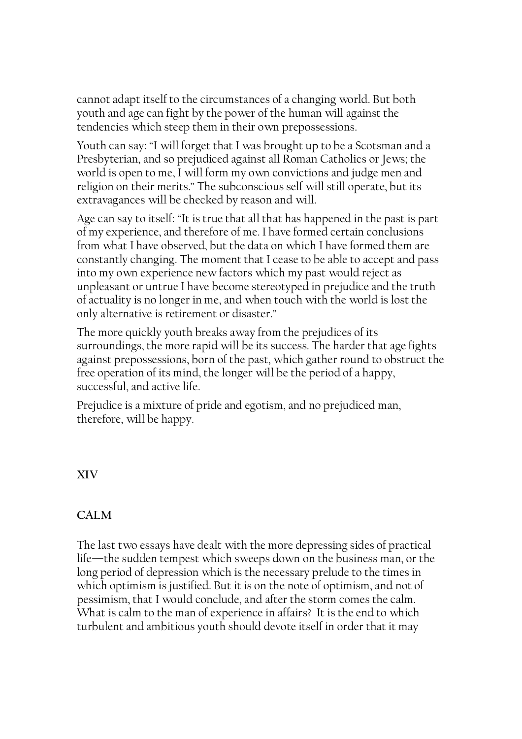cannot adapt itself to the circumstances of a changing world. But both youth and age can fight by the power of the human will against the tendencies which steep them in their own prepossessions.

Youth can say: "I will forget that I was brought up to be a Scotsman and a Presbyterian, and so prejudiced against all Roman Catholics or Jews; the world is open to me, I will form my own convictions and judge men and religion on their merits." The subconscious self will still operate, but its extravagances will be checked by reason and will.

Age can say to itself: "It is true that all that has happened in the past is part of my experience, and therefore of me. I have formed certain conclusions from what I have observed, but the data on which I have formed them are constantly changing. The moment that I cease to be able to accept and pass into my own experience new factors which my past would reject as unpleasant or untrue I have become stereotyped in prejudice and the truth of actuality is no longer in me, and when touch with the world is lost the only alternative is retirement or disaster."

The more quickly youth breaks away from the prejudices of its surroundings, the more rapid will be its success. The harder that age fights against prepossessions, born of the past, which gather round to obstruct the free operation of its mind, the longer will be the period of a happy, successful, and active life.

Prejudice is a mixture of pride and egotism, and no prejudiced man, therefore, will be happy.

XIV

# CALM

The last two essays have dealt with the more depressing sides of practical life—the sudden tempest which sweeps down on the business man, or the long period of depression which is the necessary prelude to the times in which optimism is justified. But it is on the note of optimism, and not of pessimism, that I would conclude, and after the storm comes the calm. What is calm to the man of experience in affairs? It is the end to which turbulent and ambitious youth should devote itself in order that it may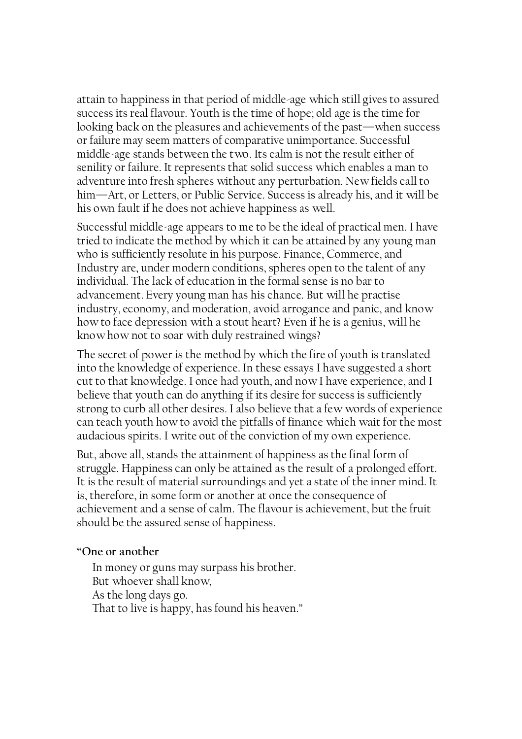attain to happiness in that period of middle-age which still gives to assured success its real flavour. Youth is the time of hope; old age is the time for looking back on the pleasures and achievements of the past—when success or failure may seem matters of comparative unimportance. Successful middle-age stands between the two. Its calm is not the result either of senility or failure. It represents that solid success which enables a man to adventure into fresh spheres without any perturbation. New fields call to him—Art, or Letters, or Public Service. Success is already his, and it will be his own fault if he does not achieve happiness as well.

Successful middle-age appears to me to be the ideal of practical men. I have tried to indicate the method by which it can be attained by any young man who is sufficiently resolute in his purpose. Finance, Commerce, and Industry are, under modern conditions, spheres open to the talent of any individual. The lack of education in the formal sense is no bar to advancement. Every young man has his chance. But will he practise industry, economy, and moderation, avoid arrogance and panic, and know how to face depression with a stout heart? Even if he is a genius, will he know how not to soar with duly restrained wings?

The secret of power is the method by which the fire of youth is translated into the knowledge of experience. In these essays I have suggested a short cut to that knowledge. I once had youth, and now I have experience, and I believe that youth can do anything if its desire for success is sufficiently strong to curb all other desires. I also believe that a few words of experience can teach youth how to avoid the pitfalls of finance which wait for the most audacious spirits. I write out of the conviction of my own experience.

But, above all, stands the attainment of happiness as the final form of struggle. Happiness can only be attained as the result of a prolonged effort. It is the result of material surroundings and yet a state of the inner mind. It is, therefore, in some form or another at once the consequence of achievement and a sense of calm. The flavour is achievement, but the fruit should be the assured sense of happiness.

#### "One or another

In money or guns may surpass his brother. But whoever shall know, As the long days go. That to live is happy, has found his heaven."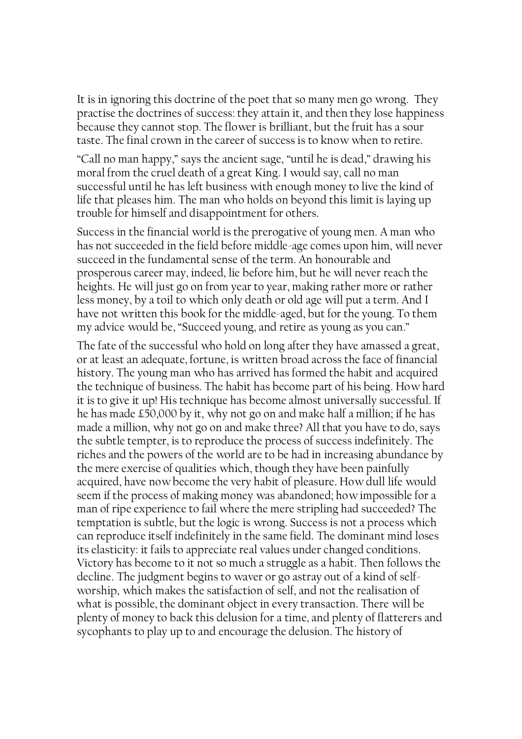It is in ignoring this doctrine of the poet that so many men go wrong. They practise the doctrines of success: they attain it, and then they lose happiness because they cannot stop. The flower is brilliant, but the fruit has a sour taste. The final crown in the career of success is to know when to retire.

"Call no man happy," says the ancient sage, "until he is dead," drawing his moral from the cruel death of a great King. I would say, call no man successful until he has left business with enough money to live the kind of life that pleases him. The man who holds on beyond this limit is laying up trouble for himself and disappointment for others.

Success in the financial world is the prerogative of young men. A man who has not succeeded in the field before middle-age comes upon him, will never succeed in the fundamental sense of the term. An honourable and prosperous career may, indeed, lie before him, but he will never reach the heights. He will just go on from year to year, making rather more or rather less money, by a toil to which only death or old age will put a term. And I have not written this book for the middle-aged, but for the young. To them my advice would be, "Succeed young, and retire as young as you can."

The fate of the successful who hold on long after they have amassed a great, or at least an adequate, fortune, is written broad across the face of financial history. The young man who has arrived has formed the habit and acquired the technique of business. The habit has become part of his being. How hard it is to give it up! His technique has become almost universally successful. If he has made £50,000 by it, why not go on and make half a million; if he has made a million, why not go on and make three? All that you have to do, says the subtle tempter, is to reproduce the process of success indefinitely. The riches and the powers of the world are to be had in increasing abundance by the mere exercise of qualities which, though they have been painfully acquired, have now become the very habit of pleasure. How dull life would seem if the process of making money was abandoned; how impossible for a man of ripe experience to fail where the mere stripling had succeeded? The temptation is subtle, but the logic is wrong. Success is not a process which can reproduce itself indefinitely in the same field. The dominant mind loses its elasticity: it fails to appreciate real values under changed conditions. Victory has become to it not so much a struggle as a habit. Then follows the decline. The judgment begins to waver or go astray out of a kind of selfworship, which makes the satisfaction of self, and not the realisation of what is possible, the dominant object in every transaction. There will be plenty of money to back this delusion for a time, and plenty of flatterers and sycophants to play up to and encourage the delusion. The history of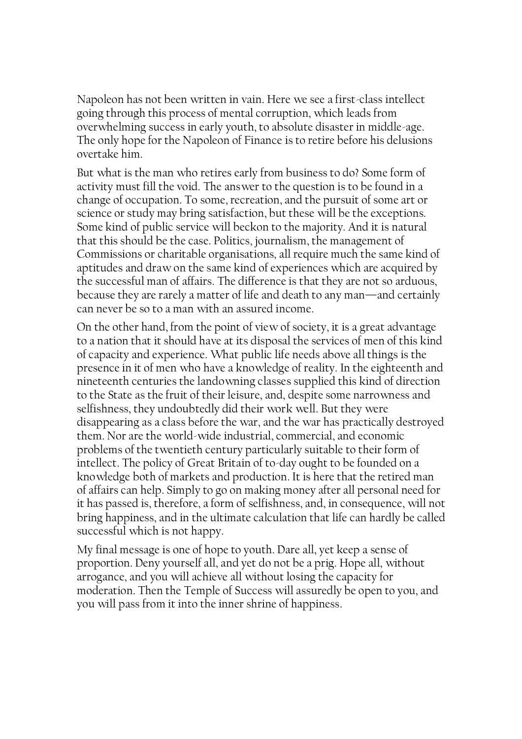Napoleon has not been written in vain. Here we see a first-class intellect going through this process of mental corruption, which leads from overwhelming success in early youth, to absolute disaster in middle-age. The only hope for the Napoleon of Finance is to retire before his delusions overtake him.

But what is the man who retires early from business to do? Some form of activity must fill the void. The answer to the question is to be found in a change of occupation. To some, recreation, and the pursuit of some art or science or study may bring satisfaction, but these will be the exceptions. Some kind of public service will beckon to the majority. And it is natural that this should be the case. Politics, journalism, the management of Commissions or charitable organisations, all require much the same kind of aptitudes and draw on the same kind of experiences which are acquired by the successful man of affairs. The difference is that they are not so arduous, because they are rarely a matter of life and death to any man—and certainly can never be so to a man with an assured income.

On the other hand, from the point of view of society, it is a great advantage to a nation that it should have at its disposal the services of men of this kind of capacity and experience. What public life needs above all things is the presence in it of men who have a knowledge of reality. In the eighteenth and nineteenth centuries the landowning classes supplied this kind of direction to the State as the fruit of their leisure, and, despite some narrowness and selfishness, they undoubtedly did their work well. But they were disappearing as a class before the war, and the war has practically destroyed them. Nor are the world-wide industrial, commercial, and economic problems of the twentieth century particularly suitable to their form of intellect. The policy of Great Britain of to-day ought to be founded on a knowledge both of markets and production. It is here that the retired man of affairs can help. Simply to go on making money after all personal need for it has passed is, therefore, a form of selfishness, and, in consequence, will not bring happiness, and in the ultimate calculation that life can hardly be called successful which is not happy.

My final message is one of hope to youth. Dare all, yet keep a sense of proportion. Deny yourself all, and yet do not be a prig. Hope all, without arrogance, and you will achieve all without losing the capacity for moderation. Then the Temple of Success will assuredly be open to you, and you will pass from it into the inner shrine of happiness.